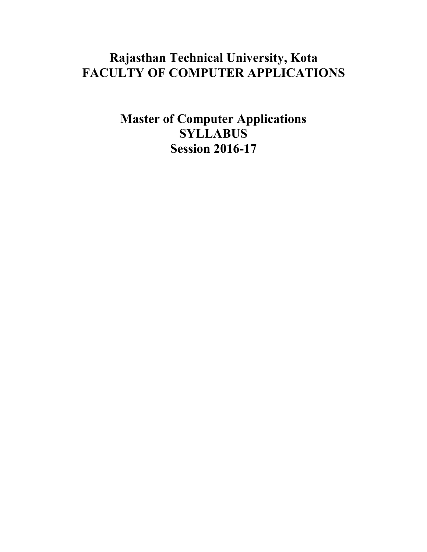# **Rajasthan Technical University, Kota FACULTY OF COMPUTER APPLICATIONS**

**Master of Computer Applications SYLLABUS Session 2016-17**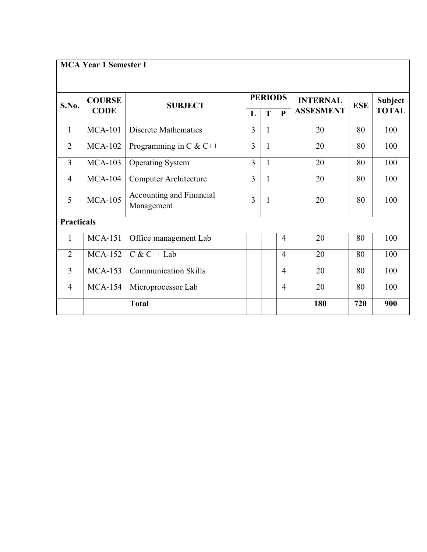|                   | <b>MCA Year 1 Semester I</b> |                                        |                |                |                |                  |            |                |
|-------------------|------------------------------|----------------------------------------|----------------|----------------|----------------|------------------|------------|----------------|
|                   |                              |                                        |                |                |                |                  |            |                |
| S.No.             | <b>COURSE</b>                | <b>SUBJECT</b>                         |                | <b>PERIODS</b> |                | <b>INTERNAL</b>  | <b>ESE</b> | <b>Subject</b> |
|                   | <b>CODE</b>                  |                                        | L              | T              | $\mathbf{P}$   | <b>ASSESMENT</b> |            | <b>TOTAL</b>   |
| $\mathbf{1}$      | <b>MCA-101</b>               | <b>Discrete Mathematics</b>            | 3              | $\mathbf{1}$   |                | 20               | 80         | 100            |
| $\overline{2}$    | <b>MCA-102</b>               | Programming in C & C++                 | $\overline{3}$ | $\mathbf{1}$   |                | 20               | 80         | 100            |
| $\overline{3}$    | $MCA-103$                    | <b>Operating System</b>                | 3              | $\mathbf{1}$   |                | 20               | 80         | 100            |
| $\overline{4}$    | <b>MCA-104</b>               | <b>Computer Architecture</b>           | 3              | $\mathbf{1}$   |                | 20               | 80         | 100            |
| 5                 | <b>MCA-105</b>               | Accounting and Financial<br>Management | 3              | $\mathbf{1}$   |                | 20               | 80         | 100            |
| <b>Practicals</b> |                              |                                        |                |                |                |                  |            |                |
| $\mathbf{1}$      | <b>MCA-151</b>               | Office management Lab                  |                |                | $\overline{4}$ | 20               | 80         | 100            |
| $\overline{2}$    | <b>MCA-152</b>               | $C & C++$ Lab                          |                |                | $\overline{4}$ | 20               | 80         | 100            |
| $\overline{3}$    | <b>MCA-153</b>               | <b>Communication Skills</b>            |                |                | $\overline{4}$ | 20               | 80         | 100            |
| $\overline{4}$    | $MCA-154$                    | Microprocessor Lab                     |                |                | $\overline{4}$ | 20               | 80         | 100            |
|                   |                              | <b>Total</b>                           |                |                |                | 180              | 720        | 900            |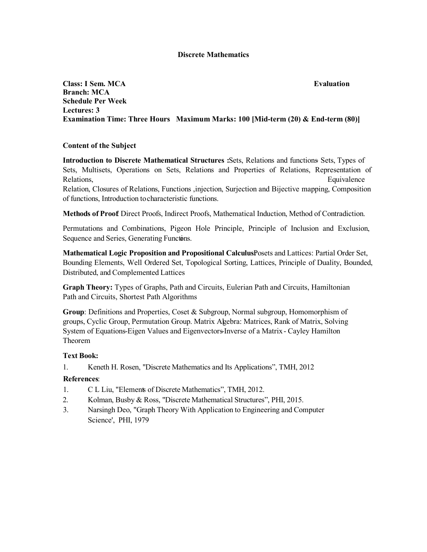#### **Discrete Mathematics**

**Class: I Sem. MCA Evaluation Branch: MCA Schedule Per Week Lectures: 3 Examination Time: Three Hours Maximum Marks: 100 [Mid-term (20) & End-term (80)]**

### **Content of the Subject**

**Introduction to Discrete Mathematical Structures :** Sets, Relations and functions- Sets, Types of Sets, Multisets, Operations on Sets, Relations and Properties of Relations, Representation of Relations, Equivalence Equivalence Equivalence Equivalence Equivalence Equivalence Relation, Closures of Relations, Functions ,injection, Surjection and Bijective mapping, Composition of functions, Introduction tocharacteristic functions.

**Methods of Proof**: Direct Proofs, Indirect Proofs, Mathematical Induction, Method of Contradiction.

Permutations and Combinations, Pigeon Hole Principle, Principle of Inclusion and Exclusion, Sequence and Series, Generating Functions.

Mathematical Logic Proposition and Propositional CalculusPosets and Lattices: Partial Order Set, Bounding Elements, Well Ordered Set, Topological Sorting, Lattices, Principle of Duality, Bounded, Distributed, and Complemented Lattices

**Graph Theory:** Types of Graphs, Path and Circuits, Eulerian Path and Circuits, Hamiltonian Path and Circuits, Shortest Path Algorithms

**Group**: Definitions and Properties, Coset & Subgroup, Normal subgroup, Homomorphism of groups, Cyclic Group, Permutation Group. Matrix Algebra: Matrices, Rank of Matrix, Solving System of Equations-Eigen Values and Eigenvectors-Inverse of a Matrix - Cayley Hamilton Theorem

### **Text Book:**

1. Keneth H. Rosen, "Discrete Mathematics and Its Applications", TMH, 2012

- 1. C L Liu, "Elements of Discrete Mathematics", TMH, 2012.
- 2. Kolman, Busby & Ross, "Discrete Mathematical Structures", PHI, 2015.
- 3. Narsingh Deo, "Graph Theory With Application to Engineering and Computer Science', PHI, 1979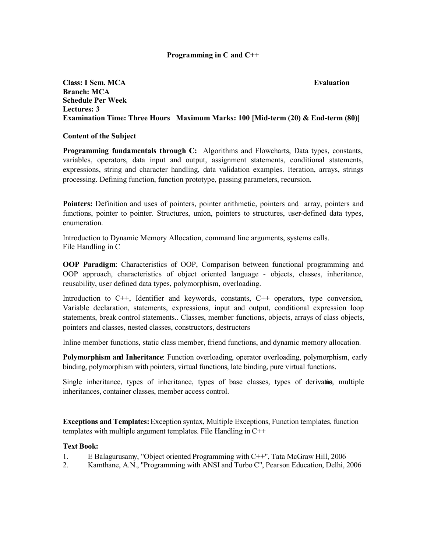### **Programming in C and C++**

**Class: I Sem. MCA Evaluation Branch: MCA Schedule Per Week Lectures: 3 Examination Time: Three Hours Maximum Marks: 100 [Mid-term (20) & End-term (80)]**

#### **Content of the Subject**

**Programming fundamentals through C:** Algorithms and Flowcharts, Data types, constants, variables, operators, data input and output, assignment statements, conditional statements, expressions, string and character handling, data validation examples. Iteration, arrays, strings processing. Defining function, function prototype, passing parameters, recursion.

**Pointers:** Definition and uses of pointers, pointer arithmetic, pointers and array, pointers and functions, pointer to pointer. Structures, union, pointers to structures, user-defined data types, enumeration.

Introduction to Dynamic Memory Allocation, command line arguments, systems calls. File Handling in C

**OOP Paradigm**: Characteristics of OOP, Comparison between functional programming and OOP approach, characteristics of object oriented language - objects, classes, inheritance, reusability, user defined data types, polymorphism, overloading.

Introduction to C++, Identifier and keywords, constants, C++ operators, type conversion, Variable declaration, statements, expressions, input and output, conditional expression loop statements, break control statements.. Classes, member functions, objects, arrays of class objects, pointers and classes, nested classes, constructors, destructors

Inline member functions, static class member, friend functions, and dynamic memory allocation.

**Polymorphism and Inheritance**: Function overloading, operator overloading, polymorphism, early binding, polymorphism with pointers, virtual functions, late binding, pure virtual functions.

Single inheritance, types of inheritance, types of base classes, types of derivations, multiple inheritances, container classes, member access control.

**Exceptions and Templates:**Exception syntax, Multiple Exceptions, Function templates, function templates with multiple argument templates. File Handling in C++

### **Text Book:**

- 1. E Balagurusamy, "Object oriented Programming with C++", Tata McGraw Hill, 2006
- 2. Kamthane, A.N., "Programming with ANSI and Turbo C", Pearson Education, Delhi, 2006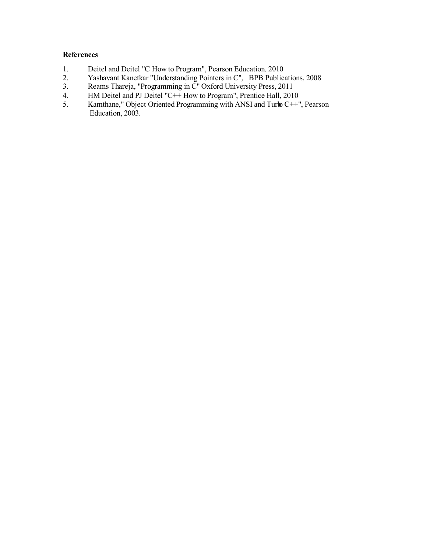- 1. Deitel and Deitel "C How to Program", Pearson Education. 2010
- 2. Yashavant Kanetkar "Understanding Pointers in C", BPB Publications, 2008
- 3. Reams Thareja, "Programming in C" Oxford University Press, 2011
- 4. HM Deitel and PJ Deitel "C++ How to Program", Prentice Hall, 2010
- 5. Kamthane," Object Oriented Programming with ANSI and Turlo C++", Pearson Education, 2003.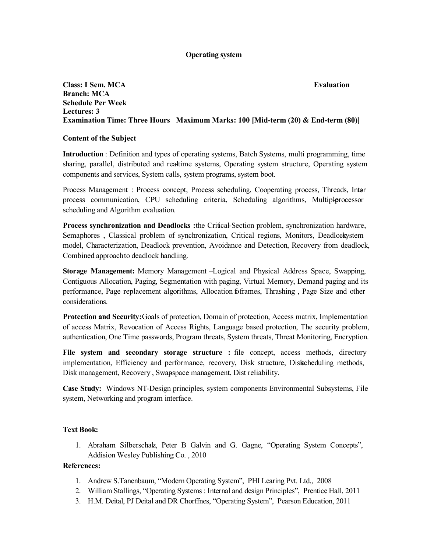#### **Operating system**

**Class: I Sem. MCA Evaluation Branch: MCA Schedule Per Week Lectures: 3 Examination Time: Three Hours Maximum Marks: 100 [Mid-term (20) & End-term (80)]**

### **Content of the Subject**

**Introduction** : Definition and types of operating systems, Batch Systems, multi programming, timesharing, parallel, distributed and realtime systems, Operating system structure, Operating system components and services, System calls, system programs, system boot.

Process Management : Process concept, Process scheduling, Cooperating process, Threads, Interprocess communication, CPU scheduling criteria, Scheduling algorithms, Multiplerocessor scheduling and Algorithm evaluation.

**Process synchronization and Deadlocks :**the Critical-Section problem, synchronization hardware, Semaphores, Classical problem of synchronization, Critical regions, Monitors, Deadlockystem model, Characterization, Deadlock prevention, Avoidance and Detection, Recovery from deadlock, Combined approach to deadlock handling.

**Storage Management:** Memory Management –Logical and Physical Address Space, Swapping, Contiguous Allocation, Paging, Segmentation with paging, Virtual Memory, Demand paging and its performance, Page replacement algorithms, Allocation foframes, Thrashing, Page Size and other considerations.

**Protection and Security:** Goals of protection, Domain of protection, Access matrix, Implementation of access Matrix, Revocation of Access Rights, Language based protection, The security problem, authentication, One Time passwords, Program threats, System threats, Threat Monitoring, Encryption.

File system and secondary storage structure : file concept, access methods, directory implementation, Efficiency and performance, recovery, Disk structure, Diskscheduling methods, Disk management, Recovery, Swapspace management, Dist reliability.

**Case Study:** Windows NT-Design principles, system components Environmental Subsystems, File system, Networking and program interface.

### **Text Book:**

1. Abraham Silberschalz, Peter B Galvin and G. Gagne, "Operating System Concepts", Addision Wesley Publishing Co. , 2010

- 1. Andrew S.Tanenbaum, "Modern Operating System", PHI Learing Pvt. Ltd., 2008
- 2. William Stallings, "Operating Systems : Internal and design Principles", Prentice Hall, 2011
- 3. H.M. Deital, PJ Deital and DR Chorffnes, "Operating System", Pearson Education, 2011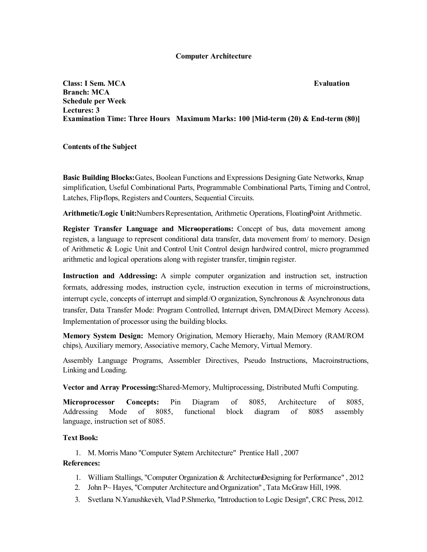#### **Computer Architecture**

**Class: I Sem. MCA Evaluation Branch: MCA Schedule per Week Lectures: 3 Examination Time: Three Hours Maximum Marks: 100 [Mid-term (20) & End-term (80)]**

### **Contents of the Subject**

**Basic Building Blocks:** Gates, Boolean Functions and Expressions Designing Gate Networks, Kmap simplification, Useful Combinational Parts, Programmable Combinational Parts, Timing and Control, Latches, Flip-flops, Registers and Counters, Sequential Circuits.

Arithmetic/Logic Unit: Numbers Representation, Arithmetic Operations, Floating Point Arithmetic.

**Register Transfer Language and Microoperations:** Concept of bus, data movement among registers, a language to represent conditional data transfer, data movement from/ to memory. Design of Arithmetic & Logic Unit and Control Unit Control design hardwired control, micro programmed arithmetic and logical operations along with register transfer, timing register.

**Instruction and Addressing:** A simple computer organization and instruction set, instruction formats, addressing modes, instruction cycle, instruction execution in terms of microinstructions, interrupt cycle, concepts of interrupt and simple /O organization, Synchronous & Asynchronous data transfer, Data Transfer Mode: Program Controlled, Interrupt driven, DMA(Direct Memory Access). Implementation of processor using the building blocks.

**Memory System Design:** Memory Origination, Memory Hierarchy, Main Memory (RAM/ROM chips), Auxiliary memory, Associative memory, Cache Memory, Virtual Memory.

Assembly Language Programs, Assembler Directives, Pseudo Instructions, Macroinstructions, Linking and Loading.

**Vector and Array Processing:** Shared-Memory, Multiprocessing, Distributed Mufti Computing.

**Microprocessor Concepts:** Pin Diagram of 8085, Architecture of 8085, Addressing Mode of 8085, functional block diagram of 8085 assembly language, instruction set of 8085.

### **Text Book:**

1. M. Morris Mano "Computer System Architecture" Prentice Hall , 2007

- 1. William Stallings, "Computer Organization & Architecture Designing for Performance", 2012
- 2. John P~ Hayes, "Computer Architecture and Organization" , Tata McGraw Hill, 1998.
- 3. Svetlana N.Yanushkevich, Vlad P.Shmerko, "Introduction to Logic Design", CRC Press, 2012.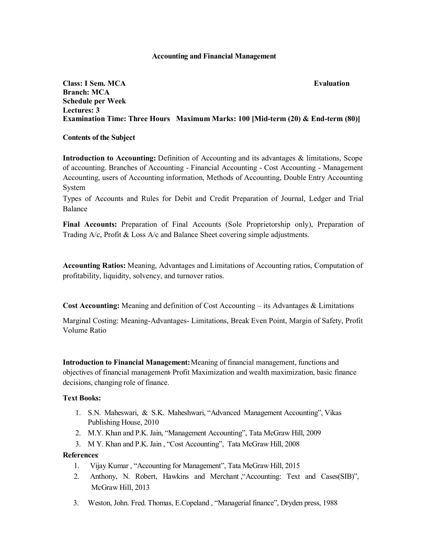#### **Accounting and Financial Management**

## **Class: I Sem. MCA Evaluation Branch: MCA Schedule per Week Lectures: 3 Examination Time: Three Hours Maximum Marks: 100 [Mid-term (20) & End-term (80)]**

### **Contents of the Subject**

**Introduction to Accounting:** Definition of Accounting and its advantages & limitations, Scope of accounting. Branches of Accounting - Financial Accounting - Cost Accounting - Management Accounting, users of Accounting information, Methods of Accounting, Double Entry Accounting System

Types of Accounts and Rules for Debit and Credit Preparation of Journal, Ledger and Trial Balance

**Final Accounts:** Preparation of Final Accounts (Sole Proprietorship only), Preparation of Trading A/c, Profit & Loss A/c and Balance Sheet covering simple adjustments.

**Accounting Ratios:** Meaning, Advantages and Limitations of Accounting ratios, Computation of profitability, liquidity, solvency, and turnover ratios.

**Cost Accounting:** Meaning and definition of Cost Accounting – its Advantages & Limitations

Marginal Costing: Meaning-Advantages- Limitations, Break Even Point, Margin of Safety, Profit Volume Ratio

**Introduction to Financial Management:**Meaning of financial management, functions and objectives of financial management- Profit Maximization and wealth maximization, basic finance decisions, changing role of finance.

### **Text Books:**

- 1. S.N. Maheswari, & S.K. Maheshwari, "Advanced Management Accounting", Vikas Publishing House, 2010
- 2. M.Y. Khan and P.K. Jain, "Management Accounting", Tata McGraw Hill, 2009
- 3. M Y. Khan and P.K. Jain , "Cost Accounting", Tata McGraw Hill, 2008

- 1. Vijay Kumar , "Accounting for Management", Tata McGraw Hill, 2015
- 2. Anthony, N. Robert, Hawkins and Merchant ,"Accounting: Text and Cases(SIB)", McGraw Hill, 2013
- 3. Weston, John. Fred. Thomas, E.Copeland , "Managerial finance", Dryden press, 1988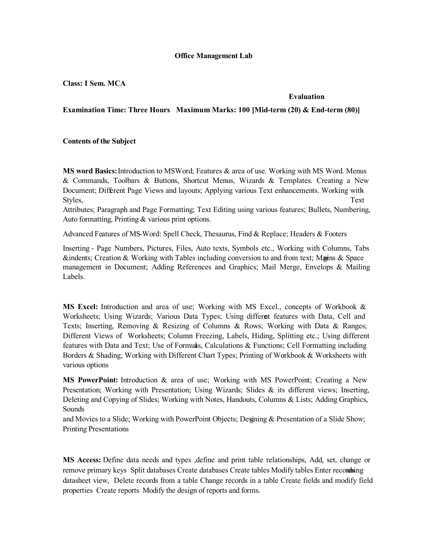#### **Office Management Lab**

#### **Class: I Sem. MCA**

#### **Evaluation**

### **Examination Time: Three Hours Maximum Marks: 100 [Mid-term (20) & End-term (80)]**

#### **Contents of the Subject**

**MS word Basics:** Introduction to MSWord; Features & area of use. Working with MS Word. Menus & Commands, Toolbars & Buttons, Shortcut Menus, Wizards & Templates. Creating a New Document; Different Page Views and layouts; Applying various Text enhancements. Working with Styles, Text Attributes; Paragraph and Page Formatting; Text Editing using various features; Bullets, Numbering, Auto formatting, Printing & various print options.

Advanced Features of MS-Word: Spell Check, Thesaurus, Find & Replace; Headers & Footers

Inserting - Page Numbers, Pictures, Files, Auto texts, Symbols etc., Working with Columns, Tabs &indents; Creation & Working with Tables including conversion to and from text; Marins & Space management in Document; Adding References and Graphics; Mail Merge, Envelops & Mailing Labels.

**MS Excel:** Introduction and area of use; Working with MS Excel., concepts of Workbook & Worksheets; Using Wizards; Various Data Types; Using different features with Data, Cell and Texts; Inserting, Removing & Resizing of Columns & Rows; Working with Data & Ranges; Different Views of Worksheets; Column Freezing, Labels, Hiding, Splitting etc.; Using different features with Data and Text; Use of Formulas, Calculations & Functions; Cell Formatting including Borders & Shading; Working with Different Chart Types; Printing of Workbook & Worksheets with various options

**MS PowerPoint:** Introduction & area of use; Working with MS PowerPoint; Creating a New Presentation; Working with Presentation; Using Wizards; Slides & its different views; Inserting, Deleting and Copying of Slides; Working with Notes, Handouts, Columns & Lists; Adding Graphics, Sounds

and Movies to a Slide; Working with PowerPoint Objects; Desiming & Presentation of a Slide Show; Printing Presentations

**MS Access:** Define data needs and types ,define and print table relationships, Add, set, change or remove primary keys Split databases Create databases Create tables Modify tables Enter recondising datasheet view, Delete records from a table Change records in a table Create fields and modify field properties Create reports Modify the design of reports and forms.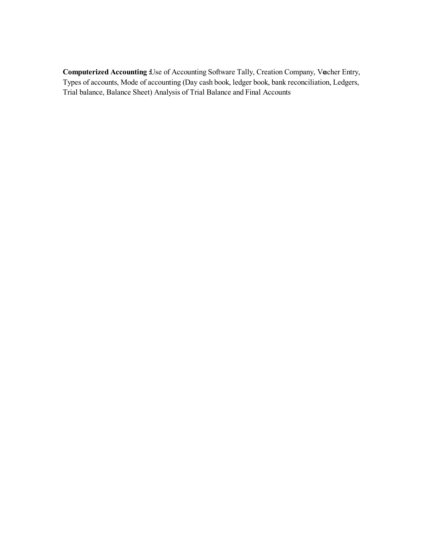Computerized Accounting :Use of Accounting Software Tally, Creation Company, Vocher Entry, Types of accounts, Mode of accounting (Day cash book, ledger book, bank reconciliation, Ledgers, Trial balance, Balance Sheet) Analysis of Trial Balance and Final Accounts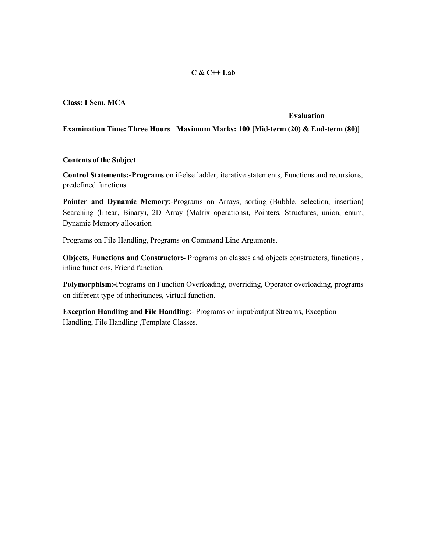#### **C & C++ Lab**

**Class: I Sem. MCA**

#### **Evaluation**

#### **Examination Time: Three Hours Maximum Marks: 100 [Mid-term (20) & End-term (80)]**

#### **Contents of the Subject**

**Control Statements:-Programs** on if-else ladder, iterative statements, Functions and recursions, predefined functions.

**Pointer and Dynamic Memory**:-Programs on Arrays, sorting (Bubble, selection, insertion) Searching (linear, Binary), 2D Array (Matrix operations), Pointers, Structures, union, enum, Dynamic Memory allocation

Programs on File Handling, Programs on Command Line Arguments.

**Objects, Functions and Constructor:-** Programs on classes and objects constructors, functions , inline functions, Friend function.

**Polymorphism:-**Programs on Function Overloading, overriding, Operator overloading, programs on different type of inheritances, virtual function.

**Exception Handling and File Handling**:- Programs on input/output Streams, Exception Handling, File Handling ,Template Classes.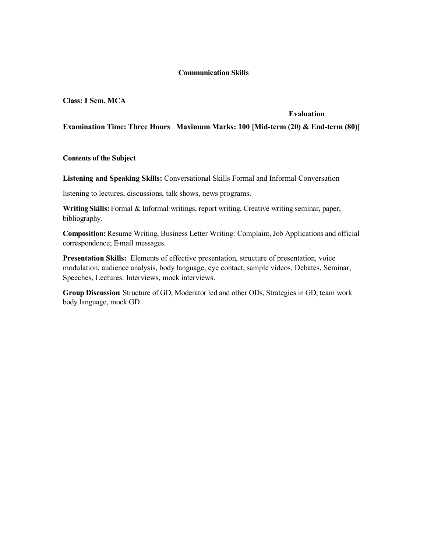#### **Communication Skills**

**Class: I Sem. MCA**

#### **Evaluation**

**Examination Time: Three Hours Maximum Marks: 100 [Mid-term (20) & End-term (80)]**

#### **Contents of the Subject**

**Listening and Speaking Skills:** Conversational Skills Formal and Informal Conversation

listening to lectures, discussions, talk shows, news programs.

**Writing Skills:** Formal & Informal writings, report writing, Creative writing seminar, paper, bibliography.

**Composition:**Resume Writing, Business Letter Writing: Complaint, Job Applications and official correspondence; E-mail messages.

**Presentation Skills:** Elements of effective presentation, structure of presentation, voice modulation, audience analysis, body language, eye contact, sample videos. Debates, Seminar, Speeches, Lectures. Interviews, mock interviews.

**Group Discussion**: Structure of GD, Moderator led and other ODs, Strategies in GD, team work body language, mock GD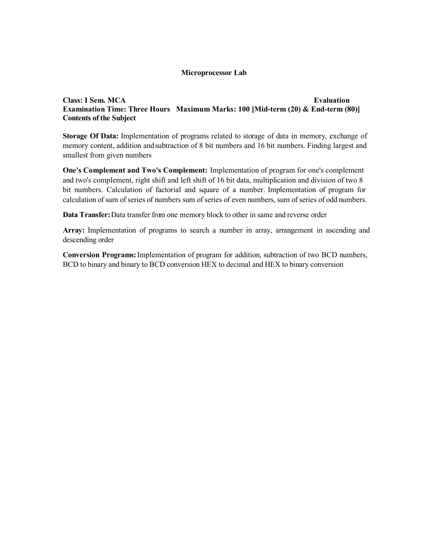### **Microprocessor Lab**

#### **Class: I Sem. MCA Evaluation Examination Time: Three Hours Maximum Marks: 100 [Mid-term (20) & End-term (80)] Contents of the Subject**

**Storage Of Data:** Implementation of programs related to storage of data in memory, exchange of memory content, addition andsubtraction of 8 bit numbers and 16 bit numbers. Finding largest and smallest from given numbers

**One's Complement and Two's Complement:** Implementation of program for one's complement and two's complement, right shift and left shift of 16 bit data, multiplication and division of two 8 bit numbers. Calculation of factorial and square of a number. Implementation of program for calculation of sum of series of numbers sum of series of even numbers, sum of series of odd numbers.

**Data Transfer:**Data transfer from one memory block to other in same and reverse order

**Array:** Implementation of programs to search a number in array, arrangement in ascending and descending order

**Conversion Programs:**Implementation of program for addition, subtraction of two BCD numbers, BCD to binary and binary to BCD conversion HEX to decimal and HEX to binary conversion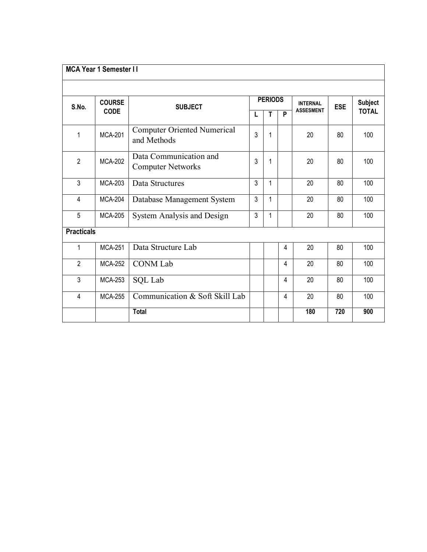|                   | <b>MCA Year 1 Semester II</b>   |                                                    |   |                            |                |                 |              |                |
|-------------------|---------------------------------|----------------------------------------------------|---|----------------------------|----------------|-----------------|--------------|----------------|
|                   |                                 |                                                    |   |                            |                |                 |              |                |
| S.No.             | <b>COURSE</b><br><b>SUBJECT</b> |                                                    |   |                            | <b>PERIODS</b> | <b>INTERNAL</b> | <b>ESE</b>   | <b>Subject</b> |
|                   | <b>CODE</b>                     |                                                    |   | <b>ASSESMENT</b><br>P<br>Т |                |                 | <b>TOTAL</b> |                |
| 1                 | <b>MCA-201</b>                  | <b>Computer Oriented Numerical</b><br>and Methods  | 3 | 1                          |                | 20              | 80           | 100            |
| $\overline{2}$    | <b>MCA-202</b>                  | Data Communication and<br><b>Computer Networks</b> | 3 | 1                          |                | 20              | 80           | 100            |
| 3                 | <b>MCA-203</b>                  | Data Structures                                    | 3 | 1                          |                | 20              | 80           | 100            |
| 4                 | <b>MCA-204</b>                  | Database Management System                         | 3 | 1                          |                | 20              | 80           | 100            |
| 5                 | <b>MCA-205</b>                  | System Analysis and Design                         | 3 | 1                          |                | 20              | 80           | 100            |
| <b>Practicals</b> |                                 |                                                    |   |                            |                |                 |              |                |
| 1                 | <b>MCA-251</b>                  | Data Structure Lab                                 |   |                            | 4              | 20              | 80           | 100            |
| $\overline{2}$    | <b>MCA-252</b>                  | <b>CONM</b> Lab                                    |   |                            | 4              | 20              | 80           | 100            |
| 3                 | <b>MCA-253</b>                  | <b>SQL</b> Lab                                     |   |                            | 4              | 20              | 80           | 100            |
| 4                 | <b>MCA-255</b>                  | Communication & Soft Skill Lab                     |   |                            | 4              | 20              | 80           | 100            |
|                   |                                 | <b>Total</b>                                       |   |                            |                | 180             | 720          | 900            |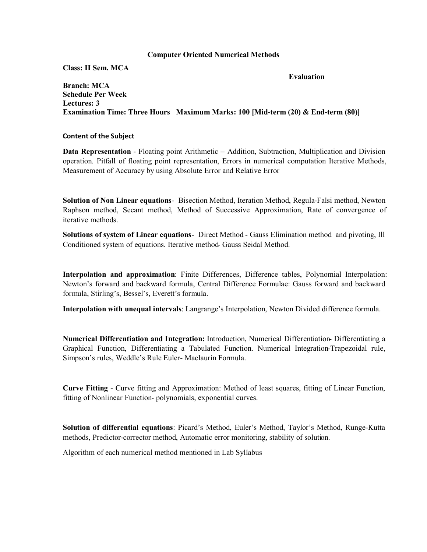#### **Computer Oriented Numerical Methods**

**Class: II Sem. MCA**

**Evaluation**

**Branch: MCA Schedule Per Week Lectures: 3 Examination Time: Three Hours Maximum Marks: 100 [Mid-term (20) & End-term (80)]**

#### **Content of the Subject**

**Data Representation** - Floating point Arithmetic – Addition, Subtraction, Multiplication and Division operation. Pitfall of floating point representation, Errors in numerical computation Iterative Methods, Measurement of Accuracy by using Absolute Error and Relative Error

**Solution of Non Linear equations**- Bisection Method, Iteration Method, Regula-Falsi method, Newton Raphson method, Secant method, Method of Successive Approximation, Rate of convergence of iterative methods.

**Solutions of system of Linear equations**- Direct Method - Gauss Elimination method and pivoting, Ill Conditioned system of equations. Iterative method- Gauss Seidal Method.

**Interpolation and approximation**: Finite Differences, Difference tables, Polynomial Interpolation: Newton's forward and backward formula, Central Difference Formulae: Gauss forward and backward formula, Stirling's, Bessel's, Everett's formula.

**Interpolation with unequal intervals**: Langrange's Interpolation, Newton Divided difference formula.

**Numerical Differentiation and Integration:** Introduction, Numerical Differentiation- Differentiating a Graphical Function, Differentiating a Tabulated Function. Numerical Integration-Trapezoidal rule, Simpson's rules, Weddle's Rule Euler- Maclaurin Formula.

**Curve Fitting** - Curve fitting and Approximation: Method of least squares, fitting of Linear Function, fitting of Nonlinear Function- polynomials, exponential curves.

**Solution of differential equations**: Picard's Method, Euler's Method, Taylor's Method, Runge-Kutta methods, Predictor-corrector method, Automatic error monitoring, stability of solution.

Algorithm of each numerical method mentioned in Lab Syllabus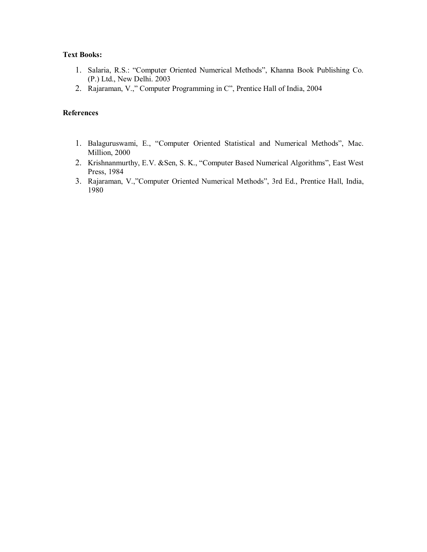## **Text Books:**

- 1. Salaria, R.S.: "Computer Oriented Numerical Methods", Khanna Book Publishing Co. (P.) Ltd., New Delhi. 2003
- 2. Rajaraman, V.," Computer Programming in C", Prentice Hall of India, 2004

- 1. Balaguruswami, E., "Computer Oriented Statistical and Numerical Methods", Mac. Million, 2000
- 2. Krishnanmurthy, E.V. &Sen, S. K., "Computer Based Numerical Algorithms", East West Press, 1984
- 3. Rajaraman, V.,"Computer Oriented Numerical Methods", 3rd Ed., Prentice Hall, India, 1980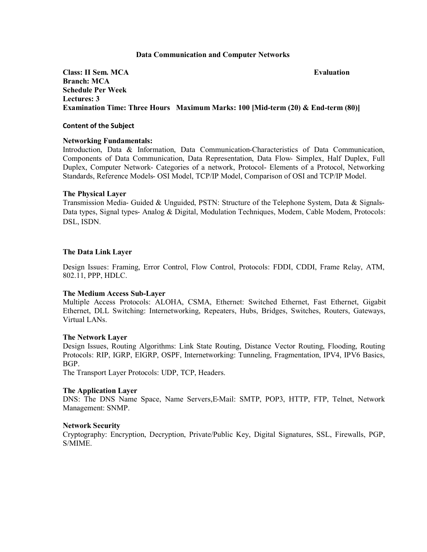#### **Data Communication and Computer Networks**

**Class: II Sem. MCA Evaluation Branch: MCA Schedule Per Week Lectures: 3 Examination Time: Three Hours Maximum Marks: 100 [Mid-term (20) & End-term (80)]**

#### **Content of the Subject**

#### **Networking Fundamentals:**

Introduction, Data & Information, Data Communication-Characteristics of Data Communication, Components of Data Communication, Data Representation, Data Flow- Simplex, Half Duplex, Full Duplex, Computer Network- Categories of a network, Protocol- Elements of a Protocol, Networking Standards, Reference Models- OSI Model, TCP/IP Model, Comparison of OSI and TCP/IP Model.

#### **The Physical Layer**

Transmission Media- Guided & Unguided, PSTN: Structure of the Telephone System, Data & Signals-Data types, Signal types- Analog & Digital, Modulation Techniques, Modem, Cable Modem, Protocols: DSL, ISDN.

#### **The Data Link Layer**

Design Issues: Framing, Error Control, Flow Control, Protocols: FDDI, CDDI, Frame Relay, ATM, 802.11, PPP, HDLC.

#### **The Medium Access Sub-Layer**

Multiple Access Protocols: ALOHA, CSMA, Ethernet: Switched Ethernet, Fast Ethernet, Gigabit Ethernet, DLL Switching: Internetworking, Repeaters, Hubs, Bridges, Switches, Routers, Gateways, Virtual LANs.

#### **The Network Layer**

Design Issues, Routing Algorithms: Link State Routing, Distance Vector Routing, Flooding, Routing Protocols: RIP, IGRP, EIGRP, OSPF, Internetworking: Tunneling, Fragmentation, IPV4, IPV6 Basics, BGP.

The Transport Layer Protocols: UDP, TCP, Headers.

#### **The Application Layer**

DNS: The DNS Name Space, Name Servers,E-Mail: SMTP, POP3, HTTP, FTP, Telnet, Network Management: SNMP.

#### **Network Security**

Cryptography: Encryption, Decryption, Private/Public Key, Digital Signatures, SSL, Firewalls, PGP, S/MIME.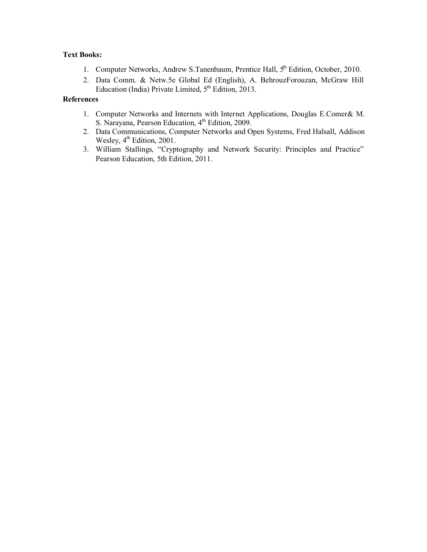### **Text Books:**

- 1. Computer Networks, Andrew S.Tanenbaum, Prentice Hall,  $5^{\text{th}}$  Edition, October, 2010.
- 2. Data Comm. & Netw.5e Global Ed (English), A. BehrouzForouzan, McGraw Hill Education (India) Private Limited,  $5<sup>th</sup>$  Edition, 2013.

- 1. Computer Networks and Internets with Internet Applications, Douglas E.Comer& M. S. Narayana, Pearson Education, 4<sup>th</sup> Edition, 2009.
- 2. Data Communications, Computer Networks and Open Systems, Fred Halsall, Addison Wesley,  $4^{\text{th}}$  Edition, 2001.
- 3. [William Stallings](http://www.flipkart.com/author/william-stallings), "Cryptography and Network Security: Principles and Practice" Pearson Education, 5th Edition, 2011.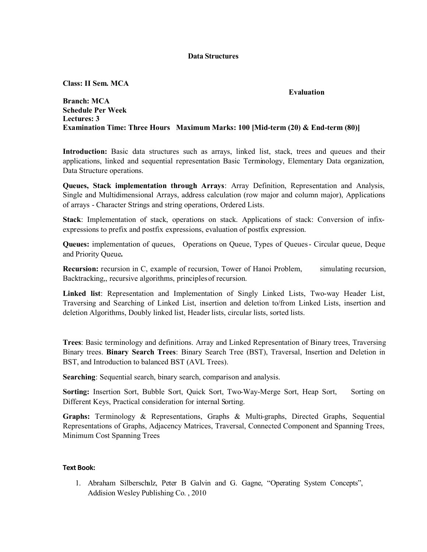#### **Data Structures**

**Class: II Sem. MCA**

**Evaluation**

**Branch: MCA Schedule Per Week Lectures: 3 Examination Time: Three Hours Maximum Marks: 100 [Mid-term (20) & End-term (80)]**

**Introduction:** Basic data structures such as arrays, linked list, stack, trees and queues and their applications, linked and sequential representation Basic Terminology, Elementary Data organization, Data Structure operations.

**Queues, Stack implementation through Arrays**: Array Definition, Representation and Analysis, Single and Multidimensional Arrays, address calculation (row major and column major), Applications of arrays - Character Strings and string operations, Ordered Lists.

**Stack**: Implementation of stack, operations on stack. Applications of stack: Conversion of infixexpressions to prefix and postfix expressions, evaluation of postfix expression.

**Queues:** implementation of queues, Operations on Queue, Types of Queues - Circular queue, Deque and Priority Queue**.**

**Recursion:** recursion in C, example of recursion, Tower of Hanoi Problem, simulating recursion, Backtracking,, recursive algorithms, principlesof recursion.

**Linked list**: Representation and Implementation of Singly Linked Lists, Two-way Header List, Traversing and Searching of Linked List, insertion and deletion to/from Linked Lists, insertion and deletion Algorithms, Doubly linked list, Header lists, circular lists, sorted lists.

**Trees**: Basic terminology and definitions. Array and Linked Representation of Binary trees, Traversing Binary trees. **Binary Search Trees**: Binary Search Tree (BST), Traversal, Insertion and Deletion in BST, and Introduction to balanced BST (AVL Trees).

**Searching**: Sequential search, binary search, comparison and analysis.

**Sorting:** Insertion Sort, Bubble Sort, Quick Sort, Two-Way-Merge Sort, Heap Sort, Sorting on Different Keys, Practical consideration for internal Sorting.

**Graphs:** Terminology & Representations, Graphs & Multi-graphs, Directed Graphs, Sequential Representations of Graphs, Adjacency Matrices, Traversal, Connected Component and Spanning Trees, Minimum Cost Spanning Trees

### **Text Book:**

1. Abraham Silberschalz, Peter B Galvin and G. Gagne, "Operating System Concepts", Addision Wesley Publishing Co. , 2010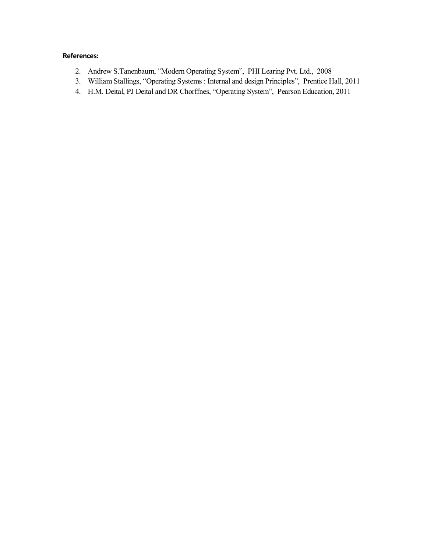- 2. Andrew S.Tanenbaum, "Modern Operating System", PHI Learing Pvt. Ltd., 2008
- 3. William Stallings, "Operating Systems : Internal and design Principles", Prentice Hall, 2011
- 4. H.M. Deital, PJ Deital and DR Chorffnes, "Operating System", Pearson Education, 2011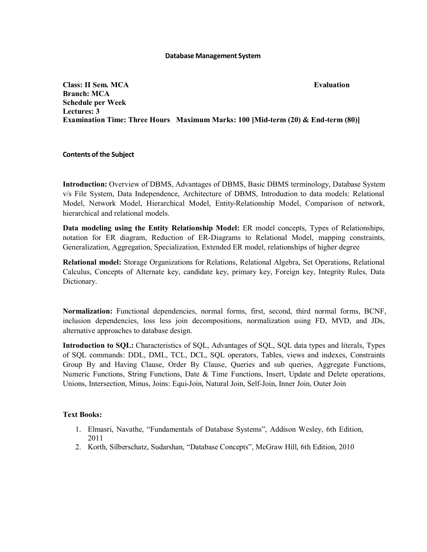#### **Database Management System**

**Class: II Sem. MCA Evaluation Branch: MCA Schedule per Week Lectures: 3 Examination Time: Three Hours Maximum Marks: 100 [Mid-term (20) & End-term (80)]**

#### **Contents of the Subject**

**Introduction:** Overview of DBMS, Advantages of DBMS, Basic DBMS terminology, Database System v/s File System, Data Independence, Architecture of DBMS, Introduction to data models: Relational Model, Network Model, Hierarchical Model, Entity-Relationship Model, Comparison of network, hierarchical and relational models.

**Data modeling using the Entity Relationship Model:** ER model concepts, Types of Relationships, notation for ER diagram, Reduction of ER-Diagrams to Relational Model, mapping constraints, Generalization, Aggregation, Specialization, Extended ER model, relationships of higher degree

**Relational model:** Storage Organizations for Relations, Relational Algebra, Set Operations, Relational Calculus, Concepts of Alternate key, candidate key, primary key, Foreign key, Integrity Rules, Data Dictionary.

**Normalization:** Functional dependencies, normal forms, first, second, third normal forms, BCNF, inclusion dependencies, loss less join decompositions, normalization using FD, MVD, and JDs, alternative approaches to database design.

**Introduction to SQL:** Characteristics of SQL, Advantages of SQL, SQL data types and literals, Types of SQL commands: DDL, DML, TCL, DCL, SQL operators, Tables, views and indexes, Constraints Group By and Having Clause, Order By Clause, Queries and sub queries, Aggregate Functions, Numeric Functions, String Functions, Date & Time Functions, Insert, Update and Delete operations, Unions, Intersection, Minus, Joins: Equi-Join, Natural Join, Self-Join, Inner Join, Outer Join

#### **Text Books:**

- 1. Elmasri, Navathe, "Fundamentals of Database Systems", Addison Wesley, 6th Edition, 2011
- 2. Korth, Silberschatz, Sudarshan, "Database Concepts", McGraw Hill, 6th Edition, 2010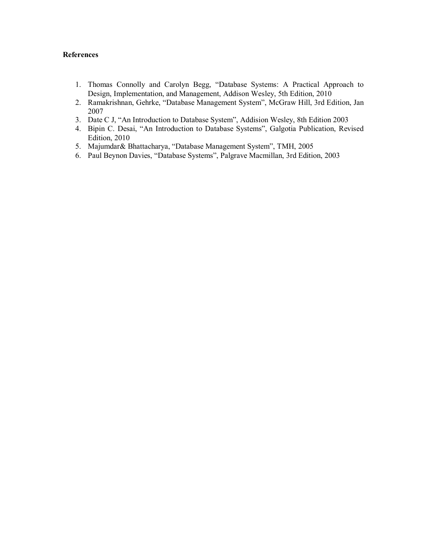- 1. Thomas Connolly and Carolyn Begg, "Database Systems: A Practical Approach to Design, Implementation, and Management, Addison Wesley, 5th Edition, 2010
- 2. Ramakrishnan, Gehrke, "Database Management System", McGraw Hill, 3rd Edition, Jan 2007
- 3. Date C J, "An Introduction to Database System", Addision Wesley, 8th Edition 2003
- 4. Bipin C. Desai, "An Introduction to Database Systems", Galgotia Publication, Revised Edition, 2010
- 5. Majumdar& Bhattacharya, "Database Management System", TMH, 2005
- 6. Paul Beynon Davies, "Database Systems", Palgrave Macmillan, 3rd Edition, 2003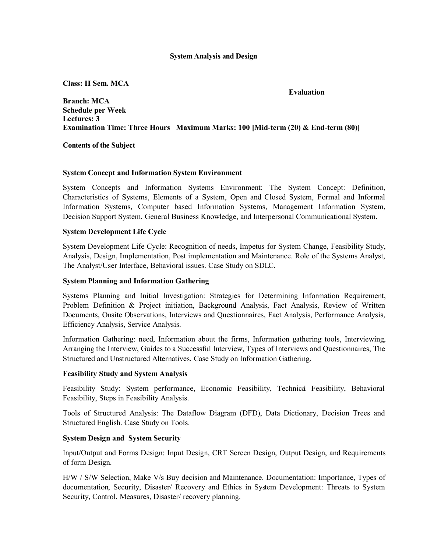#### **System Analysis and Design**

**Class: II Sem. MCA**

**Evaluation**

**Branch: MCA Schedule per Week Lectures: 3 Examination Time: Three Hours Maximum Marks: 100 [Mid-term (20) & End-term (80)]**

#### **Contents of the Subject**

### **System Concept and Information System Environment**

System Concepts and Information Systems Environment: The System Concept: Definition, Characteristics of Systems, Elements of a System, Open and Closed System, Formal and Informal Information Systems, Computer based Information Systems, Management Information System, Decision Support System, General Business Knowledge, and Interpersonal Communicational System.

#### **System Development Life Cycle**

System Development Life Cycle: Recognition of needs, Impetus for System Change, Feasibility Study, Analysis, Design, Implementation, Post implementation and Maintenance. Role of the Systems Analyst, The Analyst/User Interface, Behavioral issues. Case Study on SDLC.

#### **System Planning and Information Gathering**

Systems Planning and Initial Investigation: Strategies for Determining Information Requirement, Problem Definition & Project initiation, Background Analysis, Fact Analysis, Review of Written Documents, Onsite Observations, Interviews and Questionnaires, Fact Analysis, Performance Analysis, Efficiency Analysis, Service Analysis.

Information Gathering: need, Information about the firms, Information gathering tools, Interviewing, Arranging the Interview, Guides to a Successful Interview, Types of Interviews and Questionnaires, The Structured and Unstructured Alternatives. Case Study on Information Gathering.

### **Feasibility Study and System Analysis**

Feasibility Study: System performance, Economic Feasibility, Technical Feasibility, Behavioral Feasibility, Steps in Feasibility Analysis.

Tools of Structured Analysis: The Dataflow Diagram (DFD), Data Dictionary, Decision Trees and Structured English. Case Study on Tools.

### **System Design and System Security**

Input/Output and Forms Design: Input Design, CRT Screen Design, Output Design, and Requirements of form Design.

H/W / S/W Selection, Make V/s Buy decision and Maintenance. Documentation: Importance, Types of documentation, Security, Disaster/ Recovery and Ethics in System Development: Threats to System Security, Control, Measures, Disaster/ recovery planning.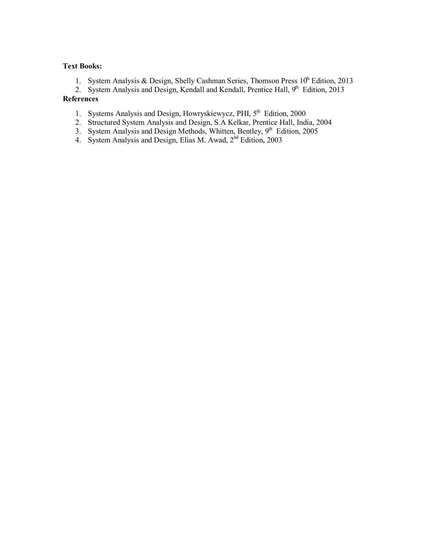### **Text Books:**

- 1. System Analysis & Design, Shelly Cashman Series, Thomson Press  $10^h$  Edition, 2013
- 2. System Analysis and Design, Kendall and Kendall, Prentice Hall,  $9<sup>th</sup>$  Edition, 2013

- 1. Systems Analysis and Design, Howryskiewycz, PHI, 5<sup>th</sup> Edition, 2000
- 2. Structured System Analysis and Design, S.A Kelkar, Prentice Hall, India, 2004
- 3. System Analysis and Design Methods, Whitten, Bentley, 9<sup>th</sup> Edition, 2005
- 4. System Analysis and Design, Elias M. Awad, 2<sup>nd</sup> Edition, 2003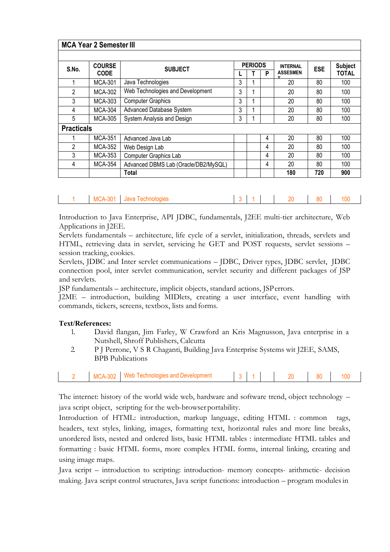|                   | <b>MCA Year 2 Semester III</b> |                                      |   |                |   |                 |            |                |
|-------------------|--------------------------------|--------------------------------------|---|----------------|---|-----------------|------------|----------------|
|                   |                                |                                      |   |                |   |                 |            |                |
| S.No.             | <b>COURSE</b>                  | <b>SUBJECT</b>                       |   | <b>PERIODS</b> |   | <b>INTERNAL</b> | <b>ESE</b> | <b>Subject</b> |
|                   | <b>CODE</b>                    |                                      |   |                | P | <b>ASSESMEN</b> |            | <b>TOTAL</b>   |
|                   | <b>MCA-301</b>                 | Java Technologies                    | 3 |                |   | 20              | 80         | 100            |
| $\mathcal{P}$     | MCA-302                        | Web Technologies and Development     | 3 | Á              |   | 20              | 80         | 100            |
| 3                 | MCA-303                        | <b>Computer Graphics</b>             | 3 | 4              |   | 20              | 80         | 100            |
| 4                 | <b>MCA-304</b>                 | Advanced Database System             | 3 | 1              |   | 20              | 80         | 100            |
| 5                 | <b>MCA-305</b>                 | System Analysis and Design           | 3 |                |   | 20              | 80         | 100            |
| <b>Practicals</b> |                                |                                      |   |                |   |                 |            |                |
|                   | <b>MCA-351</b>                 | Advanced Java Lab                    |   |                | 4 | 20              | 80         | 100            |
| $\overline{2}$    | MCA-352                        | Web Design Lab                       |   |                | 4 | 20              | 80         | 100            |
| 3                 | <b>MCA-353</b>                 | <b>Computer Graphics Lab</b>         |   |                | 4 | 20              | 80         | 100            |
| 4                 | MCA-354                        | Advanced DBMS Lab (Oracle/DB2/MySQL) |   |                | 4 | 20              | 80         | 100            |
|                   |                                | Total                                |   |                |   | 180             | 720        | 900            |

| $-301$<br>MCA- | Java<br><b>Technologies</b> |  | 20 | 80 | 100 |
|----------------|-----------------------------|--|----|----|-----|

Introduction to Java Enterprise, API JDBC, fundamentals, J2EE multi-tier architecture, Web Applications in J2EE.

Servlets fundamentals – architecture, life cycle of a servlet, initialization, threads, servlets and HTML, retrieving data in servlet, servicing he GET and POST requests, servlet sessions – session tracking, cookies.

Servlets, JDBC and Inter servlet communications – JDBC, Driver types, JDBC servlet, JDBC connection pool, inter servlet communication, servlet security and different packages of JSP and servlets.

JSP fundamentals – architecture, implicit objects, standard actions, JSPerrors.

J2ME – introduction, building MIDlets, creating a user interface, event handling with commands, tickers, screens, textbox, lists and forms.

## **Text/References:**

- 1. David flangan, Jim Farley, W Crawford an Kris Magnusson, Java enterprise in a Nutshell, Shroff Publishers, Calcutta
- 2. P J Perrone, V S R Chaganti, Building Java Enterprise Systems wit J2EE, SAMS, BPB Publications

|  |  | פחצ<br>MC: | <u> Mah</u><br>Lechnologies and<br>Development |  |  |  |  |  |  |
|--|--|------------|------------------------------------------------|--|--|--|--|--|--|
|--|--|------------|------------------------------------------------|--|--|--|--|--|--|

The internet: history of the world wide web, hardware and software trend, object technology – java script object, scripting for the web-browser portability.

Introduction of HTML: introduction, markup language, editing HTML : common tags, headers, text styles, linking, images, formatting text, horizontal rules and more line breaks, unordered lists, nested and ordered lists, basic HTML tables : intermediate HTML tables and formatting : basic HTML forms, more complex HTML forms, internal linking, creating and using image maps.

Java script – introduction to scripting: introduction- memory concepts- arithmetic- decision making. Java script control structures, Java script functions: introduction – program modulesin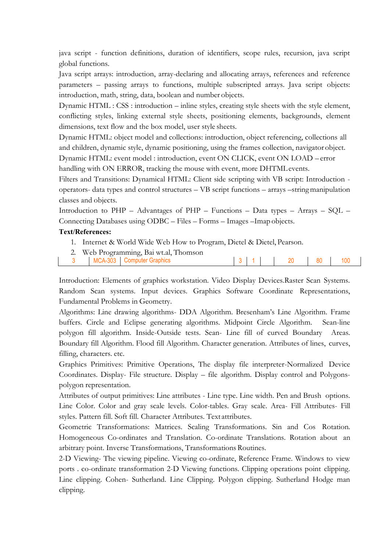java script - function definitions, duration of identifiers, scope rules, recursion, java script global functions.

Java script arrays: introduction, array-declaring and allocating arrays, references and reference parameters – passing arrays to functions, multiple subscripted arrays. Java script objects: introduction, math, string, data, boolean and number objects.

Dynamic HTML : CSS : introduction – inline styles, creating style sheets with the style element, conflicting styles, linking external style sheets, positioning elements, backgrounds, element dimensions, text flow and the box model, user style sheets.

Dynamic HTML: object model and collections: introduction, object referencing, collections all and children, dynamic style, dynamic positioning, using the frames collection, navigator object. Dynamic HTML: event model : introduction, event ON CLICK, event ON LOAD – error

handling with ON ERROR, tracking the mouse with event, more DHTMLevents.

Filters and Transitions: Dynamical HTML: Client side scripting with VB script: Introduction operators- data types and control structures – VB script functions – arrays –stringmanipulation classes and objects.

Introduction to PHP – Advantages of PHP – Functions – Data types – Arrays – SQL – Connecting Databases using ODBC – Files – Forms – Images –Imap objects.

## **Text/References:**

- 1. Internet & World Wide Web How to Program, Dietel & Dietel, Pearson.
- 2. Web Programming, Bai wt.al, Thomson
- 3 MCA-303 Computer Graphics 3 1 3 1 20 80 100

Introduction: Elements of graphics workstation. Video Display Devices.Raster Scan Systems. Random Scan systems. Input devices. Graphics Software Coordinate Representations, Fundamental Problems in Geometry.

Algorithms: Line drawing algorithms- DDA Algorithm. Bresenham's Line Algorithm. Frame buffers. Circle and Eclipse generating algorithms. Midpoint Circle Algorithm. Sean-line polygon fill algorithm. Inside-Outside tests. Sean- Line fill of curved Boundary Areas. Boundary fill Algorithm. Flood fill Algorithm. Character generation. Attributes of lines, curves, filling, characters. etc.

Graphics Primitives: Primitive Operations, The display file interpreter-Normalized Device Coordinates. Display- File structure. Display – file algorithm. Display control and Polygonspolygon representation.

Attributes of output primitives: Line attributes - Line type. Line width. Pen and Brush options. Line Color. Color and gray scale levels. Color-tables. Gray scale. Area- Fill Attributes- Fill styles. Pattern fill. Soft fill. Character Attributes. Text attributes.

Geometric Transformations: Matrices. Scaling Transformations. Sin and Cos Rotation. Homogeneous Co-ordinates and Translation. Co-ordinate Translations. Rotation about an arbitrary point. Inverse Transformations, Transformations Routines.

2-D Viewing- The viewing pipeline. Viewing co-ordinate, Reference Frame. Windows to view ports . co-ordinate transformation 2-D Viewing functions. Clipping operations point clipping. Line clipping. Cohen- Sutherland. Line Clipping. Polygon clipping. Sutherland Hodge man clipping.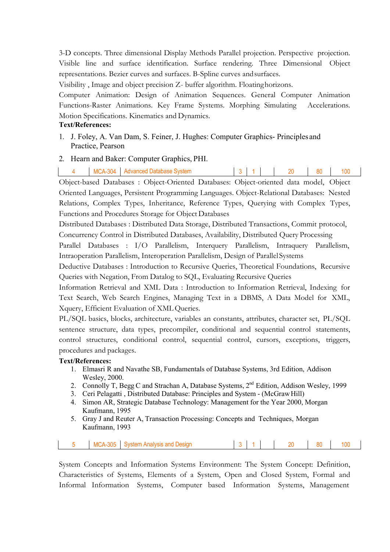3-D concepts. Three dimensional Display Methods Parallel projection. Perspective projection. Visible line and surface identification. Surface rendering. Three Dimensional Object representations. Bezier curves and surfaces. B-Spline curves andsurfaces.

Visibility , Image and object precision Z- buffer algorithm. Floatinghorizons.

Computer Animation: Design of Animation Sequences. General Computer Animation Functions-Raster Animations. Key Frame Systems. Morphing Simulating Accelerations. Motion Specifications. Kinematics and Dynamics.

## **Text/References:**

- 1. J. Foley, A. Van Dam, S. Feiner, J. Hughes: Computer Graphics- Principles and Practice, Pearson
- 2. Hearn and Baker: Computer Graphics, PHI.

|  | ווושוכ |  |  | ດບ |  |
|--|--------|--|--|----|--|
|  |        |  |  |    |  |

Object-based Databases : Object-Oriented Databases: Object-oriented data model, Object Oriented Languages, Persistent Programming Languages. Object-Relational Databases: Nested Relations, Complex Types, Inheritance, Reference Types, Querying with Complex Types, Functions and Procedures Storage for Object Databases

Distributed Databases : Distributed Data Storage, Distributed Transactions, Commit protocol, Concurrency Control in Distributed Databases, Availability, Distributed Query Processing

Parallel Databases : I/O Parallelism, Interquery Parallelism, Intraquery Parallelism, Intraoperation Parallelism, Interoperation Parallelism, Design of ParallelSystems

Deductive Databases : Introduction to Recursive Queries, Theoretical Foundations, Recursive Queries with Negation, From Datalog to SQL, Evaluating Recursive Queries

Information Retrieval and XML Data : Introduction to Information Retrieval, Indexing for Text Search, Web Search Engines, Managing Text in a DBMS, A Data Model for XML, Xquery, Efficient Evaluation of XMLQueries.

PL/SQL basics, blocks, architecture, variables an constants, attributes, character set, PL/SQL sentence structure, data types, precompiler, conditional and sequential control statements, control structures, conditional control, sequential control, cursors, exceptions, triggers, procedures and packages.

## **Text/References:**

- 1. Elmasri R and Navathe SB, Fundamentals of Database Systems, 3rd Edition, Addison Wesley, 2000.
- 2. Connolly T, Begg C and Strachan A, Database Systems, 2<sup>nd</sup> Edition, Addison Wesley, 1999
- 3. Ceri Pelagatti , Distributed Database: Principles and System (McGrawHill)
- 4. Simon AR, Strategic Database Technology: Management for the Year 2000, Morgan Kaufmann, 1995
- 5. Gray J and Reuter A, Transaction Processing: Concepts and Techniques, Morgan Kaufmann, 1993

| <b>DOL</b><br>$\mathbf{M}$ |
|----------------------------|
|----------------------------|

System Concepts and Information Systems Environment: The System Concept: Definition, Characteristics of Systems, Elements of a System, Open and Closed System, Formal and Informal Information Systems, Computer based Information Systems, Management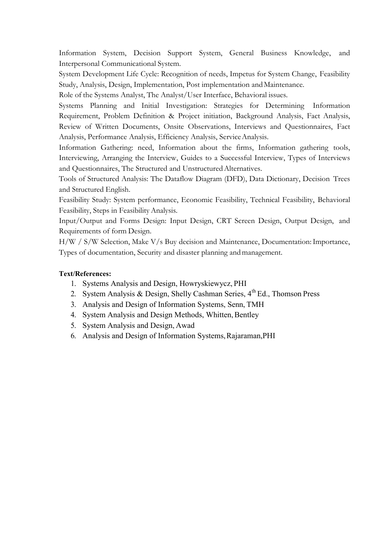Information System, Decision Support System, General Business Knowledge, and Interpersonal Communicational System.

System Development Life Cycle: Recognition of needs, Impetus for System Change, Feasibility Study, Analysis, Design, Implementation, Post implementation and Maintenance.

Role of the Systems Analyst, The Analyst/User Interface, Behavioral issues.

Systems Planning and Initial Investigation: Strategies for Determining Information Requirement, Problem Definition & Project initiation, Background Analysis, Fact Analysis, Review of Written Documents, Onsite Observations, Interviews and Questionnaires, Fact Analysis, Performance Analysis, Efficiency Analysis, ServiceAnalysis.

Information Gathering: need, Information about the firms, Information gathering tools, Interviewing, Arranging the Interview, Guides to a Successful Interview, Types of Interviews and Questionnaires, The Structured and Unstructured Alternatives.

Tools of Structured Analysis: The Dataflow Diagram (DFD), Data Dictionary, Decision Trees and Structured English.

Feasibility Study: System performance, Economic Feasibility, Technical Feasibility, Behavioral Feasibility, Steps in FeasibilityAnalysis.

Input/Output and Forms Design: Input Design, CRT Screen Design, Output Design, and Requirements of form Design.

H/W / S/W Selection, Make V/s Buy decision and Maintenance, Documentation:Importance, Types of documentation, Security and disaster planning and management.

- 1. Systems Analysis and Design, Howryskiewycz, PHI
- 2. System Analysis & Design, Shelly Cashman Series, 4<sup>th</sup> Ed., Thomson Press
- 3. Analysis and Design of Information Systems, Senn, TMH
- 4. System Analysis and Design Methods, Whitten, Bentley
- 5. System Analysis and Design, Awad
- 6. Analysis and Design of Information Systems,Rajaraman,PHI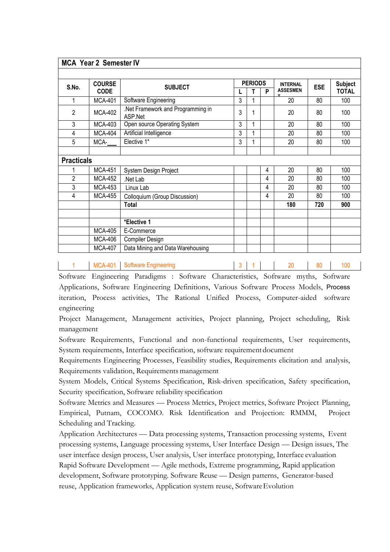|                   | <b>MCA Year 2 Semester IV</b> |                                              |                |   |   |                       |            |                |
|-------------------|-------------------------------|----------------------------------------------|----------------|---|---|-----------------------|------------|----------------|
|                   |                               |                                              |                |   |   |                       |            |                |
| S.No.             | <b>COURSE</b>                 | <b>SUBJECT</b>                               | <b>PERIODS</b> |   |   | <b>INTERNAL</b>       | <b>ESE</b> | <b>Subject</b> |
|                   | <b>CODE</b>                   |                                              |                | Т | P | <b>ASSESMEN</b><br>τ. |            | <b>TOTAL</b>   |
| 1                 | <b>MCA-401</b>                | Software Engineering                         | 3              | 1 |   | $\overline{20}$       | 80         | 100            |
| $\overline{2}$    | <b>MCA-402</b>                | .Net Framework and Programming in<br>ASP.Net | 3              | 1 |   | 20                    | 80         | 100            |
| 3                 | <b>MCA-403</b>                | Open source Operating System                 | 3              | 1 |   | 20                    | 80         | 100            |
| 4                 | <b>MCA-404</b>                | Artificial Intelligence                      | 3              | 1 |   | 20                    | 80         | 100            |
| 5                 | MCA-                          | Elective 1*                                  | 3              | 1 |   | 20                    | 80         | 100            |
|                   |                               |                                              |                |   |   |                       |            |                |
| <b>Practicals</b> |                               |                                              |                |   |   |                       |            |                |
|                   | <b>MCA-451</b>                | System Design Project                        |                |   | 4 | 20                    | 80         | 100            |
| $\overline{2}$    | <b>MCA-452</b>                | Net Lab.                                     |                |   | 4 | 20                    | 80         | 100            |
| 3                 | <b>MCA-453</b>                | Linux Lab                                    |                |   | 4 | 20                    | 80         | 100            |
| 4                 | <b>MCA-455</b>                | Colloquium (Group Discussion)                |                |   | 4 | 20                    | 80         | 100            |
|                   |                               | Total                                        |                |   |   | 180                   | 720        | 900            |
|                   |                               |                                              |                |   |   |                       |            |                |
|                   |                               | *Elective 1                                  |                |   |   |                       |            |                |
|                   | <b>MCA-405</b>                | E-Commerce                                   |                |   |   |                       |            |                |
|                   | <b>MCA-406</b>                | Compiler Design                              |                |   |   |                       |            |                |
|                   | <b>MCA-407</b>                | Data Mining and Data Warehousing             |                |   |   |                       |            |                |

|  | 1 MCA-401 Software Engineering |  | 3 1 20 80 100 |  |
|--|--------------------------------|--|---------------|--|

Software Engineering Paradigms : Software Characteristics, Software myths, Software Applications, Software Engineering Definitions, Various Software Process Models, Process iteration, Process activities, The Rational Unified Process, Computer-aided software engineering

Project Management, Management activities, Project planning, Project scheduling, Risk management

Software Requirements, Functional and non-functional requirements, User requirements, System requirements, Interface specification, software requirement document

Requirements Engineering Processes, Feasibility studies, Requirements elicitation and analysis, Requirements validation, Requirements management

System Models, Critical Systems Specification, Risk-driven specification, Safety specification, Security specification, Software reliability specification

Software Metrics and Measures — Process Metrics, Project metrics, Software Project Planning, Empirical, Putnam, COCOMO. Risk Identification and Projection: RMMM, Project Scheduling and Tracking.

Application Architectures — Data processing systems, Transaction processing systems, Event processing systems, Language processing systems, User Interface Design — Design issues, The user interface design process, User analysis, User interface prototyping, Interface evaluation Rapid Software Development — Agile methods, Extreme programming, Rapid application development, Software prototyping. Software Reuse — Design patterns, Generator-based reuse, Application frameworks, Application system reuse, SoftwareEvolution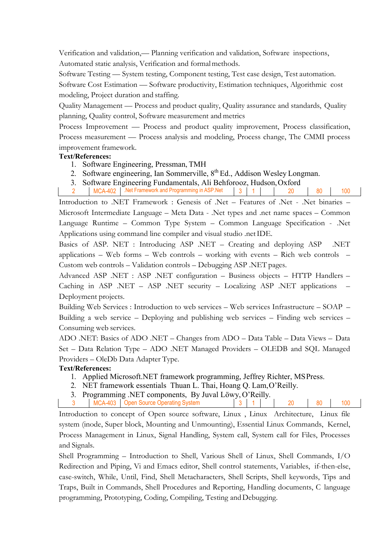Verification and validation,— Planning verification and validation, Software inspections, Automated static analysis, Verification and formalmethods.

Software Testing — System testing, Component testing, Test case design, Test automation. Software Cost Estimation — Software productivity, Estimation techniques, Algorithmic cost modeling, Project duration and staffing.

Quality Management — Process and product quality, Quality assurance and standards, Quality planning, Quality control, Software measurement and metrics

Process Improvement — Process and product quality improvement, Process classification, Process measurement — Process analysis and modeling, Process change, The CMMI process improvement framework.

## **Text/References:**

- 1. Software Engineering, Pressman, TMH
- 2. Software engineering, Ian Sommerville, 8<sup>th</sup> Ed., Addison Wesley Longman.
- 3. Software Engineering Fundamentals, Ali Behforooz, Hudson,Oxford

MCA-402 .Net Framework and Programming in ASP.Net 3 1 1 20 80 100

Introduction to .NET Framework : Genesis of .Net – Features of .Net - .Net binaries – Microsoft Intermediate Language – Meta Data - .Net types and .net name spaces – Common Language Runtime – Common Type System – Common Language Specification - .Net Applications using command line compiler and visual studio .netIDE.

Basics of ASP. NET : Introducing ASP .NET – Creating and deploying ASP .NET applications – Web forms – Web controls – working with events – Rich web controls – Custom web controls – Validation controls – Debugging ASP .NET pages.

Advanced ASP .NET : ASP .NET configuration – Business objects – HTTP Handlers – Caching in ASP .NET – ASP .NET security – Localizing ASP .NET applications – Deployment projects.

Building Web Services : Introduction to web services – Web services Infrastructure – SOAP – Building a web service – Deploying and publishing web services – Finding web services – Consuming web services.

ADO .NET: Basics of ADO .NET – Changes from ADO – Data Table – Data Views – Data Set – Data Relation Type – ADO .NET Managed Providers – OLEDB and SQL Managed Providers – OleDb Data Adapter Type.

## **Text/References:**

- 1. Applied Microsoft.NET framework programming, Jeffrey Richter, MSPress.
- 2. NET framework essentials Thuan L. Thai, Hoang Q. Lam,O'Reilly.
- 3. Programming .NET components, By Juval Löwy, O'Reilly.
- 3 MCA-403 Open Source Operating System 3 1 20 80 100

Introduction to concept of Open source software, Linux , Linux Architecture, Linux file system (inode, Super block, Mounting and Unmounting), Essential Linux Commands, Kernel, Process Management in Linux, Signal Handling, System call, System call for Files, Processes and Signals.

Shell Programming – Introduction to Shell, Various Shell of Linux, Shell Commands, I/O Redirection and Piping, Vi and Emacs editor, Shell control statements, Variables, if-then-else, case-switch, While, Until, Find, Shell Metacharacters, Shell Scripts, Shell keywords, Tips and Traps, Built in Commands, Shell Procedures and Reporting, Handling documents, C language programming, Prototyping, Coding, Compiling, Testing andDebugging.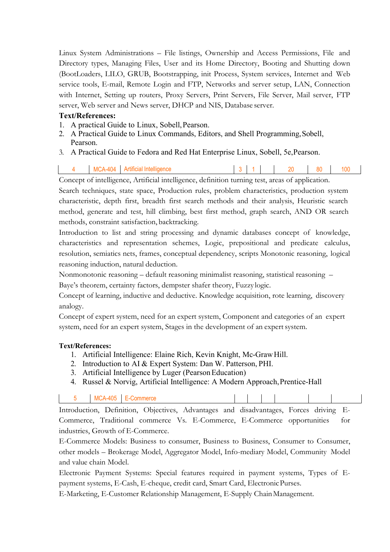Linux System Administrations – File listings, Ownership and Access Permissions, File and Directory types, Managing Files, User and its Home Directory, Booting and Shutting down (BootLoaders, LILO, GRUB, Bootstrapping, init Process, System services, Internet and Web service tools, E-mail, Remote Login and FTP, Networks and server setup, LAN, Connection with Internet, Setting up routers, Proxy Servers, Print Servers, File Server, Mail server, FTP server, Web server and News server, DHCP and NIS, Database server.

## **Text/References:**

- 1. A practical Guide to Linux, Sobell,Pearson.
- 2. A Practical Guide to Linux Commands, Editors, and Shell Programming,Sobell, Pearson.
- 3. A Practical Guide to Fedora and Red Hat Enterprise Linux, Sobell, 5e,Pearson.

## | 4 | MCA-404 | Artificial Intelligence | 3 | 1 | 20 | 80 | 100

Concept of intelligence, Artificial intelligence, definition turning test, areas of application.

Search techniques, state space, Production rules, problem characteristics, production system characteristic, depth first, breadth first search methods and their analysis, Heuristic search method, generate and test, hill climbing, best first method, graph search, AND OR search methods, constraint satisfaction, backtracking.

Introduction to list and string processing and dynamic databases concept of knowledge, characteristics and representation schemes, Logic, prepositional and predicate calculus, resolution, semiatics nets, frames, conceptual dependency, scripts Monotonic reasoning, logical reasoning induction, natural deduction.

Nonmonotonic reasoning – default reasoning minimalist reasoning, statistical reasoning –

Baye's theorem, certainty factors, dempster shafer theory, Fuzzy logic.

Concept of learning, inductive and deductive. Knowledge acquisition, rote learning, discovery analogy.

Concept of expert system, need for an expert system, Component and categories of an expert system, need for an expert system, Stages in the development of an expert system.

## **Text/References:**

- 1. Artificial Intelligence: Elaine Rich, Kevin Knight, Mc-GrawHill.
- 2. Introduction to AI & Expert System: Dan W. Patterson, PHI.
- 3. Artificial Intelligence by Luger (PearsonEducation)
- 4. Russel & Norvig, Artificial Intelligence: A Modern Approach,Prentice-Hall

|  | $\vert$ 5 $\vert$ MCA-405 $\vert$ F-Commerce                                                                                                                                                                                                                                                                                     |  |  |  |  |
|--|----------------------------------------------------------------------------------------------------------------------------------------------------------------------------------------------------------------------------------------------------------------------------------------------------------------------------------|--|--|--|--|
|  | $\Gamma$ and $\Gamma$ and $\Gamma$ and $\Gamma$ and $\Gamma$ and $\Gamma$ and $\Gamma$ and $\Gamma$ and $\Gamma$ and $\Gamma$ and $\Gamma$ and $\Gamma$ and $\Gamma$ and $\Gamma$ and $\Gamma$ and $\Gamma$ and $\Gamma$ and $\Gamma$ and $\Gamma$ and $\Gamma$ and $\Gamma$ and $\Gamma$ and $\Gamma$ and $\Gamma$ and $\Gamma$ |  |  |  |  |

Introduction, Definition, Objectives, Advantages and disadvantages, Forces driving E-Commerce, Traditional commerce Vs. E-Commerce, E-Commerce opportunities for industries, Growth of E-Commerce.

E-Commerce Models: Business to consumer, Business to Business, Consumer to Consumer, other models – Brokerage Model, Aggregator Model, Info-mediary Model, Community Model and value chain Model.

Electronic Payment Systems: Special features required in payment systems, Types of Epayment systems, E-Cash, E-cheque, credit card, Smart Card, ElectronicPurses.

E-Marketing, E-Customer Relationship Management, E-Supply ChainManagement.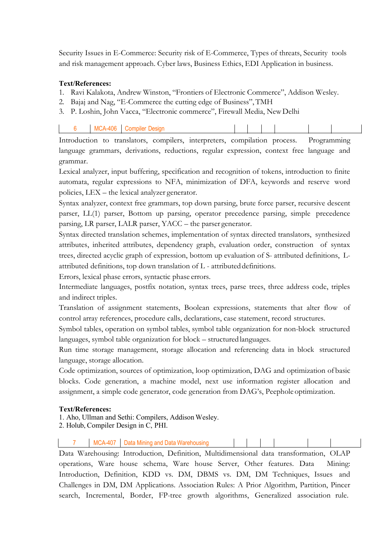Security Issues in E-Commerce: Security risk of E-Commerce, Types of threats, Security tools and risk management approach. Cyber laws, Business Ethics, EDI Application in business.

## **Text/References:**

- 1. Ravi Kalakota, Andrew Winston, "Frontiers of Electronic Commerce", Addison Wesley.
- 2. Bajaj and Nag, "E-Commerce the cutting edge of Business", TMH
- 3. P. Loshin, John Vacca, "Electronic commerce", Firewall Media, NewDelhi

Introduction to translators, compilers, interpreters, compilation process. Programming language grammars, derivations, reductions, regular expression, context free language and grammar.

Lexical analyzer, input buffering, specification and recognition of tokens, introduction to finite automata, regular expressions to NFA, minimization of DFA, keywords and reserve word policies, LEX – the lexical analyzer generator.

Syntax analyzer, context free grammars, top down parsing, brute force parser, recursive descent parser, LL(1) parser, Bottom up parsing, operator precedence parsing, simple precedence parsing, LR parser, LALR parser, YACC – the parser generator.

Syntax directed translation schemes, implementation of syntax directed translators, synthesized attributes, inherited attributes, dependency graph, evaluation order, construction of syntax trees, directed acyclic graph of expression, bottom up evaluation of S- attributed definitions, Lattributed definitions, top down translation of L - attributed definitions.

Errors, lexical phase errors, syntactic phase errors.

Intermediate languages, postfix notation, syntax trees, parse trees, three address code, triples and indirect triples.

Translation of assignment statements, Boolean expressions, statements that alter flow of control array references, procedure calls, declarations, case statement, record structures.

Symbol tables, operation on symbol tables, symbol table organization for non-block structured languages, symbol table organization for block – structuredlanguages.

Run time storage management, storage allocation and referencing data in block structured language, storage allocation.

Code optimization, sources of optimization, loop optimization, DAG and optimization of basic blocks. Code generation, a machine model, next use information register allocation and assignment, a simple code generator, code generation from DAG's, Peephole optimization.

## **Text/References:**

1. Aho, Ullman and Sethi: Compilers, Addison Wesley.

2. Holub, Compiler Design in C, PHI.

|  |  | ллі |  |  |  |  |  |  |  |
|--|--|-----|--|--|--|--|--|--|--|
|--|--|-----|--|--|--|--|--|--|--|

Data Warehousing: Introduction, Definition, Multidimensional data transformation, OLAP operations, Ware house schema, Ware house Server, Other features. Data Mining: Introduction, Definition, KDD vs. DM, DBMS vs. DM, DM Techniques, Issues and Challenges in DM, DM Applications. Association Rules: A Prior Algorithm, Partition, Pincer search, Incremental, Border, FP-tree growth algorithms, Generalized association rule.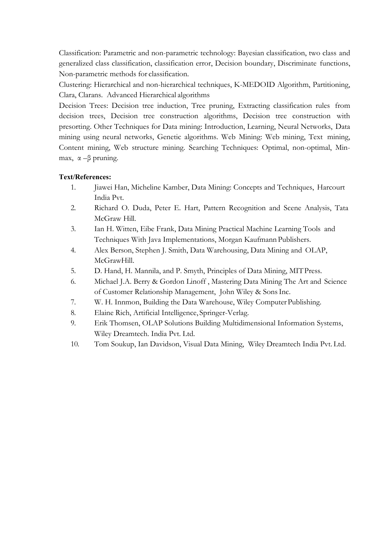Classification: Parametric and non-parametric technology: Bayesian classification, two class and generalized class classification, classification error, Decision boundary, Discriminate functions, Non-parametric methods for classification.

Clustering: Hierarchical and non-hierarchical techniques, K-MEDOID Algorithm, Partitioning, Clara, Clarans. Advanced Hierarchical algorithms

Decision Trees: Decision tree induction, Tree pruning, Extracting classification rules from decision trees, Decision tree construction algorithms, Decision tree construction with presorting. Other Techniques for Data mining: Introduction, Learning, Neural Networks, Data mining using neural networks, Genetic algorithms. Web Mining: Web mining, Text mining, Content mining, Web structure mining. Searching Techniques: Optimal, non-optimal, Minmax,  $\alpha$  –β pruning.

- 1. Jiawei Han, Micheline Kamber, Data Mining: Concepts and Techniques, Harcourt India Pvt.
- 2. Richard O. Duda, Peter E. Hart, Pattern Recognition and Scene Analysis, Tata McGraw Hill.
- 3. Ian H. Witten, Eibe Frank, Data Mining Practical Machine Learning Tools and Techniques With Java Implementations, Morgan Kaufmann Publishers.
- 4. Alex Berson, Stephen J. Smith, Data Warehousing, Data Mining and OLAP, McGrawHill.
- 5. D. Hand, H. Mannila, and P. Smyth, Principles of Data Mining, MITPress.
- 6. Michael J.A. Berry & Gordon Linoff , Mastering Data Mining The Art and Science of Customer Relationship Management, John Wiley & SonsInc.
- 7. W. H. Innmon, Building the Data Warehouse, Wiley Computer Publishing.
- 8. Elaine Rich, Artificial Intelligence, Springer-Verlag.
- 9. Erik Thomsen, OLAP Solutions Building Multidimensional Information Systems, Wiley Dreamtech. India Pvt. Ltd.
- 10. Tom Soukup, Ian Davidson, Visual Data Mining, Wiley Dreamtech India Pvt. Ltd.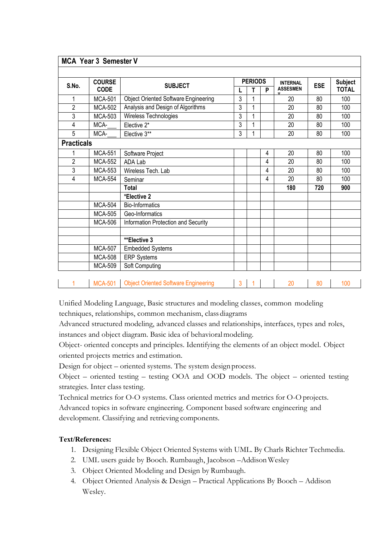| <b>MCA Year 3 Semester V</b> |                              |                                             |                |                |   |                 |            |                |  |
|------------------------------|------------------------------|---------------------------------------------|----------------|----------------|---|-----------------|------------|----------------|--|
|                              |                              |                                             |                |                |   |                 |            |                |  |
| S.No.                        | <b>COURSE</b><br><b>CODE</b> | <b>SUBJECT</b>                              | <b>PERIODS</b> |                |   | <b>INTERNAL</b> |            | <b>Subject</b> |  |
|                              |                              |                                             |                | T              | P | <b>ASSESMEN</b> | <b>ESE</b> | <b>TOTAL</b>   |  |
| 1                            | <b>MCA-501</b>               | <b>Object Oriented Software Engineering</b> | 3              | 1              |   | 20              | 80         | 100            |  |
| $\overline{2}$               | <b>MCA-502</b>               | Analysis and Design of Algorithms           | 3              | $\overline{1}$ |   | 20              | 80         | 100            |  |
| 3                            | <b>MCA-503</b>               | Wireless Technologies                       | 3              | $\overline{1}$ |   | 20              | 80         | 100            |  |
| 4                            | MCA-                         | Elective 2*                                 | 3              | 1              |   | 20              | 80         | 100            |  |
| 5                            | MCA-                         | Elective 3**                                | 3              | 1              |   | 20              | 80         | 100            |  |
| <b>Practicals</b>            |                              |                                             |                |                |   |                 |            |                |  |
|                              | <b>MCA-551</b>               | Software Project                            |                |                | 4 | 20              | 80         | 100            |  |
| $\overline{2}$               | <b>MCA-552</b>               | ADA Lab                                     |                |                | 4 | 20              | 80         | 100            |  |
| 3                            | <b>MCA-553</b>               | Wireless Tech. Lab                          |                |                | 4 | 20              | 80         | 100            |  |
| 4                            | <b>MCA-554</b>               | Seminar                                     |                |                | 4 | 20              | 80         | 100            |  |
|                              |                              | <b>Total</b>                                |                |                |   | 180             | 720        | 900            |  |
|                              |                              | *Elective 2                                 |                |                |   |                 |            |                |  |
|                              | <b>MCA-504</b>               | <b>Bio-Informatics</b>                      |                |                |   |                 |            |                |  |
|                              | <b>MCA-505</b>               | Geo-Informatics                             |                |                |   |                 |            |                |  |
|                              | <b>MCA-506</b>               | Information Protection and Security         |                |                |   |                 |            |                |  |
|                              |                              | <b>**Elective 3</b>                         |                |                |   |                 |            |                |  |
|                              | <b>MCA-507</b>               | <b>Embedded Systems</b>                     |                |                |   |                 |            |                |  |
|                              | <b>MCA-508</b>               | <b>ERP Systems</b>                          |                |                |   |                 |            |                |  |
|                              | <b>MCA-509</b>               | Soft Computing                              |                |                |   |                 |            |                |  |
|                              | MCA-501                      | <b>Object Oriented Software Engineering</b> | 3              |                |   | 20              | 80         | 100            |  |

Unified Modeling Language, Basic structures and modeling classes, common modeling techniques, relationships, common mechanism, class diagrams

Advanced structured modeling, advanced classes and relationships, interfaces, types and roles, instances and object diagram. Basic idea of behavioralmodeling.

Object- oriented concepts and principles. Identifying the elements of an object model. Object oriented projects metrics and estimation.

Design for object – oriented systems. The system design process.

Object – oriented testing – testing OOA and OOD models. The object – oriented testing strategies. Inter class testing.

Technical metrics for O-O systems. Class oriented metrics and metrics for O-Oprojects. Advanced topics in software engineering. Component based software engineering and development. Classifying and retrieving components.

- 1. Designing Flexible Object Oriented Systems with UML. By Charls Richter Techmedia.
- 2. UML users guide by Booch. Rumbaugh, Jacobson -Addison Wesley
- 3. Object Oriented Modeling and Design by Rumbaugh.
- 4. Object Oriented Analysis & Design Practical Applications By Booch Addison Wesley.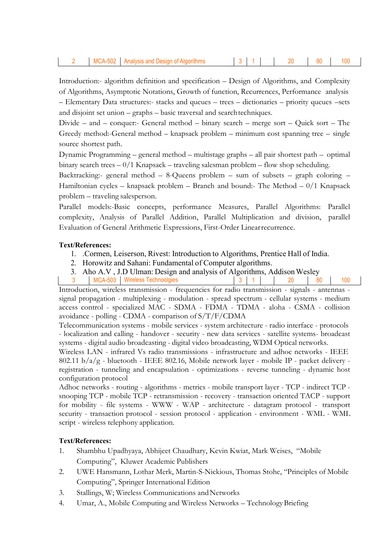|  | MCA-502 Analysis and Design of Algorithms |  | 3 1 20 80 100 |  |
|--|-------------------------------------------|--|---------------|--|
|  |                                           |  |               |  |

Introduction:- algorithm definition and specification – Design of Algorithms, and Complexity of Algorithms, Asymptotic Notations, Growth of function, Recurrences, Performance analysis – Elementary Data structures:- stacks and queues – trees – dictionaries – priority queues –sets and disjoint set union – graphs – basic traversal and searchtechniques.

Divide – and – conquer:- General method – binary search – merge sort – Quick sort – The Greedy method:-General method – knapsack problem – minimum cost spanning tree – single source shortest path.

Dynamic Programming – general method – multistage graphs – all pair shortest path – optimal binary search trees – 0/1 Knapsack – traveling salesman problem – flow shop scheduling.

Backtracking:- general method – 8-Queens problem – sum of subsets – graph coloring – Hamiltonian cycles – knapsack problem – Branch and bound:- The Method – 0/1 Knapsack problem – traveling salesperson.

Parallel models:-Basic concepts, performance Measures, Parallel Algorithms: Parallel complexity, Analysis of Parallel Addition, Parallel Multiplication and division, parallel Evaluation of General Arithmetic Expressions, First-Order Linearrecurrence.

## **Text/References:**

- 1. .Cormen, Leiserson, Rivest: Introduction to Algorithms, Prentice Hall of India.
- 2. Horowitz and Sahani: Fundamental of Computer algorithms.
- 3. Aho A.V, J.D Ulman: Design and analysis of Algorithms, Addison Wesley
- 3 | MCA-503 | Wireless Technoolgies | 3 | 1 | 20 | 80 | 100

Introduction, wireless transmission - frequencies for radio transmission - signals - antennas signal propagation - multiplexing - modulation - spread spectrum - cellular systems - medium access control - specialized MAC - SDMA - FDMA - TDMA - aloha - CSMA - collision avoidance - polling - CDMA - comparison of S/T/F/CDMA

Telecommunication systems - mobile services - system architecture - radio interface - protocols - localization and calling - handover - security - new data services - satellite systems- broadcast systems - digital audio broadcasting - digital video broadcasting, WDM Optical networks.

Wireless LAN - infrared Vs radio transmissions - infrastructure and adhoc networks - IEEE 802.11 b/a/g - bluetooth - IEEE 802.16, Mobile network layer - mobile IP - packet delivery registration - tunneling and encapsulation - optimizations - reverse tunneling - dynamic host configuration protocol

Adhoc networks - routing - algorithms - metrics - mobile transport layer - TCP - indirect TCP snooping TCP - mobile TCP - retransmission - recovery - transaction oriented TACP - support for mobility - file systems - WWW - WAP - architecture - datagram protocol - transport security - transaction protocol - session protocol - application - environment - WML - WML script - wireless telephony application.

- 1. Shambhu Upadhyaya, Abhijeet Chaudhary, Kevin Kwiat, Mark Weises, "Mobile Computing", Kluwer Academic Publishers
- 2. UWE Hansmann, Lothar Merk, Martin-S-Nickious, Thomas Stohe, "Principles of Mobile Computing", Springer International Edition
- 3. Stallings, W; Wireless Communications and Networks
- 4. Umar, A., Mobile Computing and Wireless Networks Technology Briefing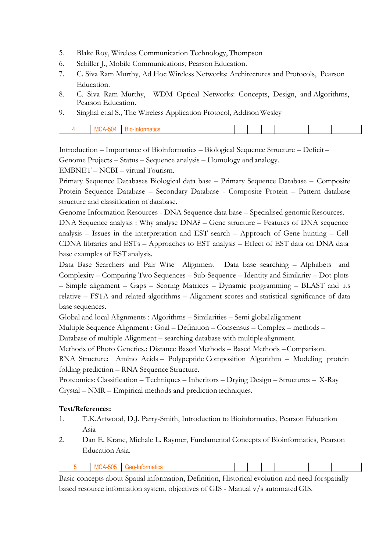- 5. Blake Roy, Wireless Communication Technology,Thompson
- 6. Schiller J., Mobile Communications, Pearson Education.
- 7. C. Siva Ram Murthy, Ad Hoc Wireless Networks: Architectures and Protocols, Pearson Education.
- 8. C. Siva Ram Murthy, WDM Optical Networks: Concepts, Design, and Algorithms, Pearson Education.
- 9. Singhal et.al S., The Wireless Application Protocol, AddisonWesley

| <b>IMI</b> | Bк<br>≅ 'nformatics' |  |  |  |
|------------|----------------------|--|--|--|
|            |                      |  |  |  |

Introduction – Importance of Bioinformatics – Biological Sequence Structure – Deficit – Genome Projects – Status – Sequence analysis – Homology and analogy.

EMBNET – NCBI – virtual Tourism.

Primary Sequence Databases Biological data base – Primary Sequence Database – Composite Protein Sequence Database – Secondary Database - Composite Protein – Pattern database structure and classification of database.

Genome Information Resources - DNA Sequence data base – Specialised genomic Resources. DNA Sequence analysis : Why analyse DNA? – Gene structure – Features of DNA sequence analysis – Issues in the interpretation and EST search – Approach of Gene hunting – Cell CDNA libraries and ESTs – Approaches to EST analysis – Effect of EST data on DNA data base examples of EST analysis.

Data Base Searchers and Pair Wise Alignment Data base searching – Alphabets and Complexity – Comparing Two Sequences – Sub-Sequence – Identity and Similarity – Dot plots – Simple alignment – Gaps – Scoring Matrices – Dynamic programming – BLAST and its relative – FSTA and related algorithms – Alignment scores and statistical significance of data base sequences.

Global and local Alignments : Algorithms – Similarities – Semi global alignment

Multiple Sequence Alignment : Goal – Definition – Consensus – Complex – methods –

Database of multiple Alignment – searching database with multiple alignment.

Methods of Photo Genetics.: Distance Based Methods – Based Methods –Comparison.

RNA Structure: Amino Acids – Polypeptide Composition Algorithm – Modeling protein folding prediction – RNA Sequence Structure.

Proteomics: Classification – Techniques – Inheritors – Drying Design – Structures – X-Ray Crystal – NMR – Empirical methods and prediction techniques.

## **Text/References:**

- 1. T.K.Attwood, D.J. Parry-Smith, Introduction to Bioinformatics, Pearson Education Asia
- 2. Dan E. Krane, Michale L. Raymer, Fundamental Concepts of Bioinformatics, Pearson Education Asia.

| <b>MCA-505</b><br>-eo-<br>-informatics |  |  |  |  |  |
|----------------------------------------|--|--|--|--|--|
|----------------------------------------|--|--|--|--|--|

Basic concepts about Spatial information, Definition, Historical evolution and need forspatially based resource information system, objectives of GIS - Manual v/s automatedGIS.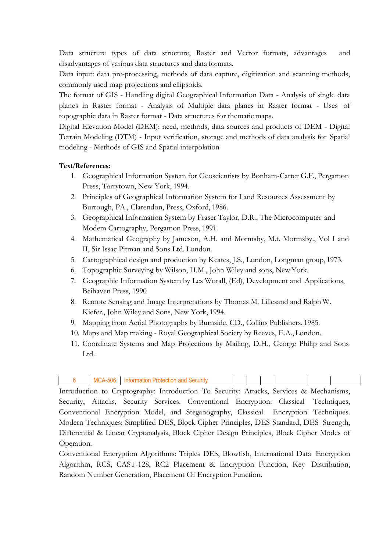Data structure types of data structure, Raster and Vector formats, advantages and disadvantages of various data structures and data formats.

Data input: data pre-processing, methods of data capture, digitization and scanning methods, commonly used map projections and ellipsoids.

The format of GIS - Handling digital Geographical Information Data - Analysis of single data planes in Raster format - Analysis of Multiple data planes in Raster format - Uses of topographic data in Raster format - Data structures for thematic maps.

Digital Elevation Model (DEM): need, methods, data sources and products of DEM - Digital Terrain Modeling (DTM) - Input verification, storage and methods of data analysis for Spatial modeling - Methods of GIS and Spatial interpolation

## **Text/References:**

- 1. Geographical Information System for Geoscientists by Bonham-Carter G.F., Pergamon Press, Tarrytown, New York, 1994.
- 2. Principles of Geographical Information System for Land Resources Assessment by Burrough, PA., Clarendon, Press, Oxford, 1986.
- 3. Geographical Information System by Fraser Taylor, D.R., The Microcomputer and Modem Cartography, Pergamon Press, 1991.
- 4. Mathematical Geography by Jameson, A.H. and Mormsby, M.t. Mormsby., Vol I and II, Sir Issac Pitman and Sons Ltd. London.
- 5. Cartographical design and production by Keates, J.S., London, Longman group, 1973.
- 6. Topographic Surveying by Wilson, H.M., John Wiley and sons, NewYork.
- 7. Geographic Information System by Les Worall, (Ed), Development and Applications, Beihaven Press, 1990
- 8. Remote Sensing and Image Interpretations by Thomas M. Lillesand and Ralph W. Kiefer., John Wiley and Sons, New York, 1994.
- 9. Mapping from Aerial Photographs by Burnside, CD., Collins Publishers. 1985.
- 10. Maps and Map making Royal Geographical Society by Reeves, E.A., London.
- 11. Coordinate Systems and Map Projections by Mailing, D.H., George Philip and Sons Ltd.

|  | <b>MCA-506</b> | Information Protection and<br>Security |  |  |  |  |  |  |
|--|----------------|----------------------------------------|--|--|--|--|--|--|
|--|----------------|----------------------------------------|--|--|--|--|--|--|

Introduction to Cryptography: Introduction To Security: Attacks, Services & Mechanisms, Security, Attacks, Security Services. Conventional Encryption: Classical Techniques, Conventional Encryption Model, and Steganography, Classical Encryption Techniques. Modern Techniques: Simplified DES, Block Cipher Principles, DES Standard, DES Strength, Differential & Linear Cryptanalysis, Block Cipher Design Principles, Block Cipher Modes of Operation.

Conventional Encryption Algorithms: Triples DES, Blowfish, International Data Encryption Algorithm, RCS, CAST-128, RC2 Placement & Encryption Function, Key Distribution, Random Number Generation, Placement Of Encryption Function.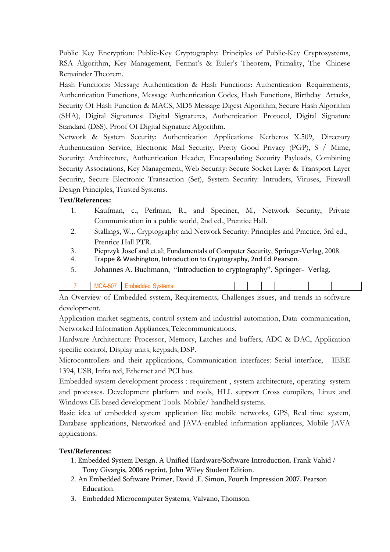Public Key Encryption: Public-Key Cryptography: Principles of Public-Key Cryptosystems, RSA Algorithm, Key Management, Fermat's & Euler's Theorem, Primality, The Chinese Remainder Theorem.

Hash Functions: Message Authentication & Hash Functions: Authentication Requirements, Authentication Functions, Message Authentication Codes, Hash Functions, Birthday Attacks, Security Of Hash Function & MACS, MD5 Message Digest Algorithm, Secure Hash Algorithm (SHA), Digital Signatures: Digital Signatures, Authentication Protocol, Digital Signature Standard (DSS), Proof Of Digital Signature Algorithm.

Network & System Security: Authentication Applications: Kerberos X.509, Directory Authentication Service, Electronic Mail Security, Pretty Good Privacy (PGP), S / Mime, Security: Architecture, Authentication Header, Encapsulating Security Payloads, Combining Security Associations, Key Management, Web Security: Secure Socket Layer & Transport Layer Security, Secure Electronic Transaction (Set), System Security: Intruders, Viruses, Firewall Design Principles, Trusted Systems.

## **Text/References:**

- 1. Kaufman, c., Perlman, R., and Speciner, M., Network Security, Private Communication in a public world, 2nd ed., Prentice Hall.
- 2. Stallings, W.,. Cryptography and Network Security: Principles and Practice, 3rd ed., Prentice Hall PTR.
- 3. Pieprzyk Josef and et.al; Fundamentals of Computer Security, Springer-Verlag, 2008.
- 4. Trappe & Washington, Introduction to Cryptography, 2nd Ed.Pearson.
- 5. Johannes A. Buchmann, "Introduction to cryptography", Springer- Verlag.

## 7 | MCA-507 | Embedded Systems

An Overview of Embedded system, Requirements, Challenges issues, and trends in software development.

Application market segments, control system and industrial automation, Data communication, Networked Information Appliances, Telecommunications.

Hardware Architecture: Processor, Memory, Latches and buffers, ADC & DAC, Application specific control, Display units, keypads, DSP.

Microcontrollers and their applications, Communication interfaces: Serial interface, IEEE 1394, USB, Infra red, Ethernet and PCI bus.

Embedded system development process : requirement , system architecture, operating system and processes. Development platform and tools, HLL support Cross compilers, Linux and Windows CE based development Tools. Mobile/ handheld systems.

Basic idea of embedded system application like mobile networks, GPS, Real time system, Database applications, Networked and JAVA-enabled information appliances, Mobile JAVA applications.

- 1. Embedded System Design, A Unified Hardware/Software Introduction, Frank Vahid / Tony Givargis, 2006 reprint, John Wiley Student Edition.
- 2. An Embedded Software Primer, David .E. Simon, Fourth Impression 2007, Pearson Education.
- 3. Embedded Microcomputer Systems, Valvano, Thomson.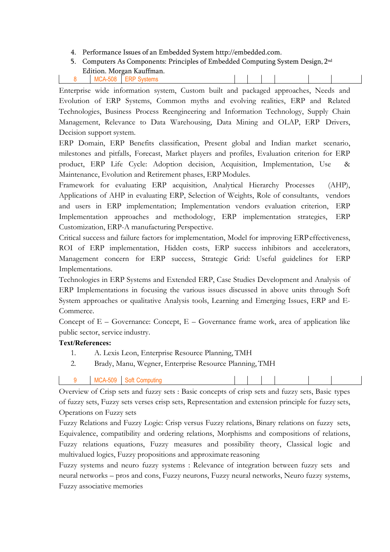- 4. Performance Issues of an Embedded System [http://embedded.com.](http://embedded.com/)
- 5. Computers As Components: Principles of Embedded Computing System Design, 2<sup>nd</sup> Edition. Morgan Kauffman. 8 | MCA-508 | ERP Systems

Enterprise wide information system, Custom built and packaged approaches, Needs and Evolution of ERP Systems, Common myths and evolving realities, ERP and Related Technologies, Business Process Reengineering and Information Technology, Supply Chain Management, Relevance to Data Warehousing, Data Mining and OLAP, ERP Drivers, Decision support system.

ERP Domain, ERP Benefits classification, Present global and Indian market scenario, milestones and pitfalls, Forecast, Market players and profiles, Evaluation criterion for ERP product, ERP Life Cycle: Adoption decision, Acquisition, Implementation, Use & Maintenance, Evolution and Retirement phases, ERP Modules.

Framework for evaluating ERP acquisition, Analytical Hierarchy Processes (AHP), Applications of AHP in evaluating ERP, Selection of Weights, Role of consultants, vendors and users in ERP implementation; Implementation vendors evaluation criterion, ERP Implementation approaches and methodology, ERP implementation strategies, ERP Customization, ERP-A manufacturing Perspective.

Critical success and failure factors for implementation, Model for improving ERPeffectiveness, ROI of ERP implementation, Hidden costs, ERP success inhibitors and accelerators, Management concern for ERP success, Strategic Grid: Useful guidelines for ERP Implementations.

Technologies in ERP Systems and Extended ERP, Case Studies Development and Analysis of ERP Implementations in focusing the various issues discussed in above units through Soft System approaches or qualitative Analysis tools, Learning and Emerging Issues, ERP and E-Commerce.

Concept of E – Governance: Concept, E – Governance frame work, area of application like public sector, service industry.

## **Text/References:**

- 1. A. Lexis Leon, Enterprise Resource Planning, TMH
- 2. Brady, Manu, Wegner, Enterprise Resource Planning, TMH
- 9 | MCA-509 | Soft Computing

Overview of Crisp sets and fuzzy sets : Basic concepts of crisp sets and fuzzy sets, Basic types of fuzzy sets, Fuzzy sets verses crisp sets, Representation and extension principle for fuzzy sets, Operations on Fuzzy sets

Fuzzy Relations and Fuzzy Logic: Crisp versus Fuzzy relations, Binary relations on fuzzy sets, Equivalence, compatibility and ordering relations, Morphisms and compositions of relations, Fuzzy relations equations, Fuzzy measures and possibility theory, Classical logic and multivalued logics, Fuzzy propositions and approximate reasoning

Fuzzy systems and neuro fuzzy systems : Relevance of integration between fuzzy sets and neural networks – pros and cons, Fuzzy neurons, Fuzzy neural networks, Neuro fuzzy systems, Fuzzy associative memories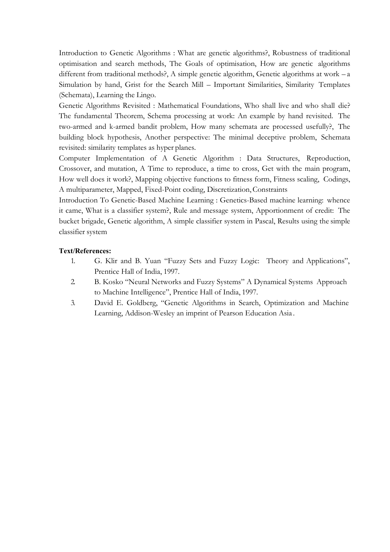Introduction to Genetic Algorithms : What are genetic algorithms?, Robustness of traditional optimisation and search methods, The Goals of optimisation, How are genetic algorithms different from traditional methods?, A simple genetic algorithm, Genetic algorithms at work – a Simulation by hand, Grist for the Search Mill – Important Similarities, Similarity Templates (Schemata), Learning the Lingo.

Genetic Algorithms Revisited : Mathematical Foundations, Who shall live and who shall die? The fundamental Theorem, Schema processing at work: An example by hand revisited. The two-armed and k-armed bandit problem, How many schemata are processed usefully?, The building block hypothesis, Another perspective: The minimal deceptive problem, Schemata revisited: similarity templates as hyper planes.

Computer Implementation of A Genetic Algorithm : Data Structures, Reproduction, Crossover, and mutation, A Time to reproduce, a time to cross, Get with the main program, How well does it work?, Mapping objective functions to fitness form, Fitness scaling, Codings, A multiparameter, Mapped, Fixed-Point coding, Discretization,Constraints

Introduction To Genetic-Based Machine Learning : Genetics-Based machine learning: whence it came, What is a classifier system?, Rule and message system, Apportionment of credit: The bucket brigade, Genetic algorithm, A simple classifier system in Pascal, Results using the simple classifier system

- 1. G. Klir and B. Yuan "Fuzzy Sets and Fuzzy Logic: Theory and Applications", Prentice Hall of India, 1997.
- 2. B. Kosko "Neural Networks and Fuzzy Systems" A Dynamical Systems Approach to Machine Intelligence", Prentice Hall of India, 1997.
- 3. David E. Goldberg, "Genetic Algorithms in Search, Optimization and Machine Learning, Addison-Wesley an imprint of Pearson Education Asia .